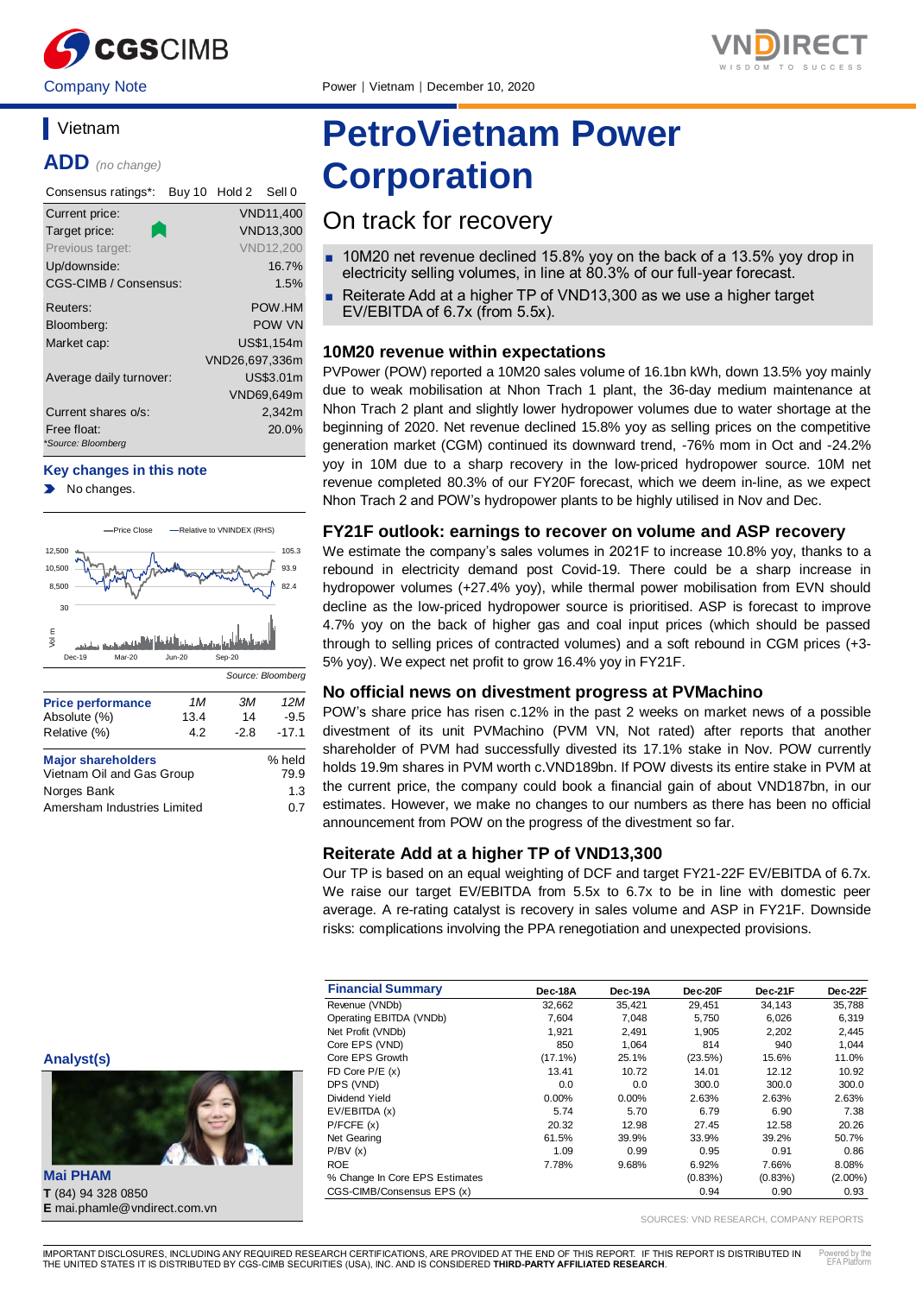

# **Vietnam**

**ADD** *(no change)*

| Consensus ratings*:               | Buy 10 Hold 2 Sell 0 |
|-----------------------------------|----------------------|
| Current price:                    | <b>VND11,400</b>     |
| Target price:                     | <b>VND13,300</b>     |
| Previous target:                  | <b>VND12,200</b>     |
| Up/downside:                      | 16.7%                |
| CGS-CIMB / Consensus:             | 1.5%                 |
| Reuters:                          | POW.HM               |
| Bloomberg:                        | POW VN               |
| Market cap:                       | US\$1.154m           |
|                                   | VND26,697,336m       |
| Average daily turnover:           | US\$3.01m            |
|                                   | VND69,649m           |
| Current shares o/s:               | 2,342m               |
| Free float:<br>*Source: Bloomberg | 20.0%                |

#### **Key changes in this note**

No changes.



Amersham Industries Limited 0.7

# **PetroVietnam Power Corporation**

# On track for recovery

- 10M20 net revenue declined 15.8% yoy on the back of a 13.5% yoy drop in electricity selling volumes, in line at 80.3% of our full-year forecast.
- Reiterate Add at a higher TP of VND13,300 as we use a higher target EV/EBITDA of 6.7x (from 5.5x).

# **10M20 revenue within expectations**

PVPower (POW) reported a 10M20 sales volume of 16.1bn kWh, down 13.5% yoy mainly due to weak mobilisation at Nhon Trach 1 plant, the 36-day medium maintenance at Nhon Trach 2 plant and slightly lower hydropower volumes due to water shortage at the beginning of 2020. Net revenue declined 15.8% yoy as selling prices on the competitive generation market (CGM) continued its downward trend, -76% mom in Oct and -24.2% yoy in 10M due to a sharp recovery in the low-priced hydropower source. 10M net revenue completed 80.3% of our FY20F forecast, which we deem in-line, as we expect Nhon Trach 2 and POW's hydropower plants to be highly utilised in Nov and Dec.

# **FY21F outlook: earnings to recover on volume and ASP recovery**

We estimate the company's sales volumes in 2021F to increase 10.8% yoy, thanks to a rebound in electricity demand post Covid-19. There could be a sharp increase in hydropower volumes (+27.4% yoy), while thermal power mobilisation from EVN should decline as the low-priced hydropower source is prioritised. ASP is forecast to improve 4.7% yoy on the back of higher gas and coal input prices (which should be passed through to selling prices of contracted volumes) and a soft rebound in CGM prices (+3- 5% yoy). We expect net profit to grow 16.4% yoy in FY21F.

## **No official news on divestment progress at PVMachino**

POW's share price has risen c.12% in the past 2 weeks on market news of a possible divestment of its unit PVMachino (PVM VN, Not rated) after reports that another shareholder of PVM had successfully divested its 17.1% stake in Nov. POW currently holds 19.9m shares in PVM worth c.VND189bn. If POW divests its entire stake in PVM at the current price, the company could book a financial gain of about VND187bn, in our estimates. However, we make no changes to our numbers as there has been no official announcement from POW on the progress of the divestment so far.

# **Reiterate Add at a higher TP of VND13,300**

Our TP is based on an equal weighting of DCF and target FY21-22F EV/EBITDA of 6.7x. We raise our target EV/EBITDA from 5.5x to 6.7x to be in line with domestic peer average. A re-rating catalyst is recovery in sales volume and ASP in FY21F. Downside risks: complications involving the PPA renegotiation and unexpected provisions.

| <b>Financial Summary</b>       | Dec-18A    | Dec-19A  | Dec-20F    | Dec-21F    | Dec-22F    |
|--------------------------------|------------|----------|------------|------------|------------|
| Revenue (VNDb)                 | 32,662     | 35,421   | 29.451     | 34,143     | 35,788     |
| Operating EBITDA (VNDb)        | 7.604      | 7,048    | 5.750      | 6,026      | 6,319      |
| Net Profit (VNDb)              | 1,921      | 2,491    | 1,905      | 2,202      | 2,445      |
| Core EPS (VND)                 | 850        | 1.064    | 814        | 940        | 1.044      |
| Core EPS Growth                | $(17.1\%)$ | 25.1%    | (23.5%)    | 15.6%      | 11.0%      |
| FD Core $P/E(x)$               | 13.41      | 10.72    | 14.01      | 12.12      | 10.92      |
| DPS (VND)                      | 0.0        | 0.0      | 300.0      | 300.0      | 300.0      |
| Dividend Yield                 | $0.00\%$   | $0.00\%$ | 2.63%      | 2.63%      | 2.63%      |
| EV/EBITDA (x)                  | 5.74       | 5.70     | 6.79       | 6.90       | 7.38       |
| P/FCFE(x)                      | 20.32      | 12.98    | 27.45      | 12.58      | 20.26      |
| Net Gearing                    | 61.5%      | 39.9%    | 33.9%      | 39.2%      | 50.7%      |
| P/BV(x)                        | 1.09       | 0.99     | 0.95       | 0.91       | 0.86       |
| <b>ROE</b>                     | 7.78%      | 9.68%    | 6.92%      | 7.66%      | 8.08%      |
| % Change In Core EPS Estimates |            |          | $(0.83\%)$ | $(0.83\%)$ | $(2.00\%)$ |
| CGS-CIMB/Consensus EPS (x)     |            |          | 0.94       | 0.90       | 0.93       |

SOURCES: VND RESEARCH, COMPANY REPORTS



**Mai PHAM T** (84) 94 328 0850 **E** mai.phamle@vndirect.com.vn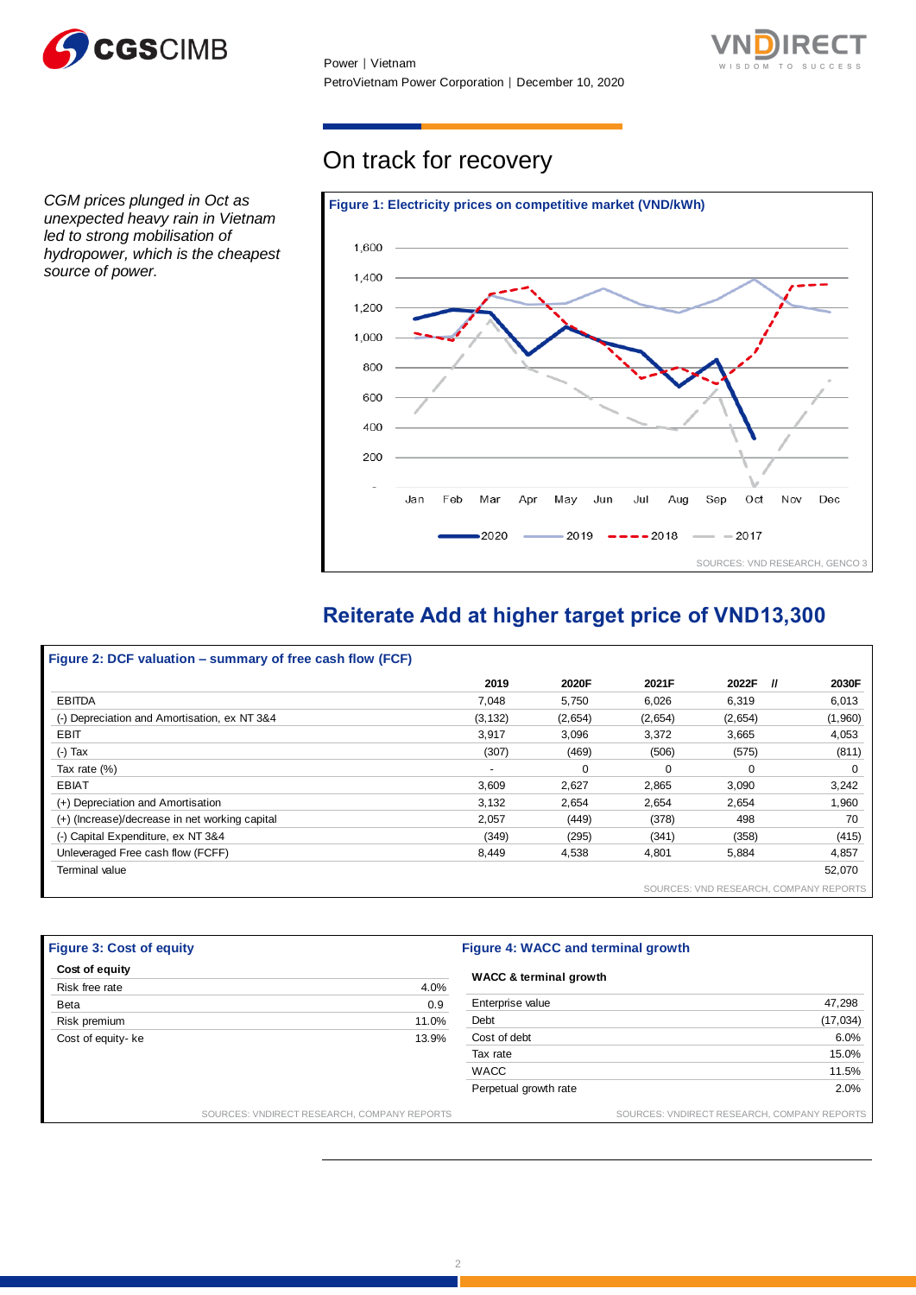

Power │ Vietnam PetroVietnam Power Corporation │ December 10, 2020



*CGM prices plunged in Oct as unexpected heavy rain in Vietnam led to strong mobilisation of hydropower, which is the cheapest source of power.*

# On track for recovery



# **Reiterate Add at higher target price of VND13,300**

| Figure 2: DCF valuation – summary of free cash flow (FCF) |                          |          |         |          |                                        |
|-----------------------------------------------------------|--------------------------|----------|---------|----------|----------------------------------------|
|                                                           | 2019                     | 2020F    | 2021F   | 2022F    | $^{\prime\prime}$<br>2030F             |
| <b>EBITDA</b>                                             | 7.048                    | 5.750    | 6,026   | 6,319    | 6,013                                  |
| (-) Depreciation and Amortisation, ex NT 3&4              | (3, 132)                 | (2,654)  | (2,654) | (2,654)  | (1,960)                                |
| <b>EBIT</b>                                               | 3.917                    | 3.096    | 3.372   | 3.665    | 4,053                                  |
| $(-)$ Tax                                                 | (307)                    | (469)    | (506)   | (575)    | (811)                                  |
| Tax rate (%)                                              | $\overline{\phantom{a}}$ | $\Omega$ | 0       | $\Omega$ | $\Omega$                               |
| <b>EBIAT</b>                                              | 3,609                    | 2,627    | 2,865   | 3,090    | 3,242                                  |
| (+) Depreciation and Amortisation                         | 3,132                    | 2.654    | 2.654   | 2.654    | 1,960                                  |
| (+) (Increase)/decrease in net working capital            | 2,057                    | (449)    | (378)   | 498      | 70                                     |
| (-) Capital Expenditure, ex NT 3&4                        | (349)                    | (295)    | (341)   | (358)    | (415)                                  |
| Unleveraged Free cash flow (FCFF)                         | 8,449                    | 4,538    | 4,801   | 5,884    | 4,857                                  |
| Terminal value                                            |                          |          |         |          | 52,070                                 |
|                                                           |                          |          |         |          | SOURCES: VND RESEARCH, COMPANY REPORTS |

| <b>Figure 3: Cost of equity</b><br>Cost of equity |       | <b>Figure 4: WACC and terminal growth</b><br><b>WACC &amp; terminal growth</b> |                                             |  |
|---------------------------------------------------|-------|--------------------------------------------------------------------------------|---------------------------------------------|--|
|                                                   |       |                                                                                |                                             |  |
| Beta                                              | 0.9   | Enterprise value                                                               | 47,298                                      |  |
| Risk premium                                      | 11.0% | Debt                                                                           | (17, 034)                                   |  |
| Cost of equity- ke                                | 13.9% | Cost of debt                                                                   | 6.0%                                        |  |
|                                                   |       | Tax rate                                                                       | 15.0%                                       |  |
|                                                   |       | <b>WACC</b>                                                                    | 11.5%                                       |  |
|                                                   |       | Perpetual growth rate                                                          | 2.0%                                        |  |
| SOURCES: VNDIRECT RESEARCH, COMPANY REPORTS       |       |                                                                                | SOURCES: VNDIRECT RESEARCH, COMPANY REPORTS |  |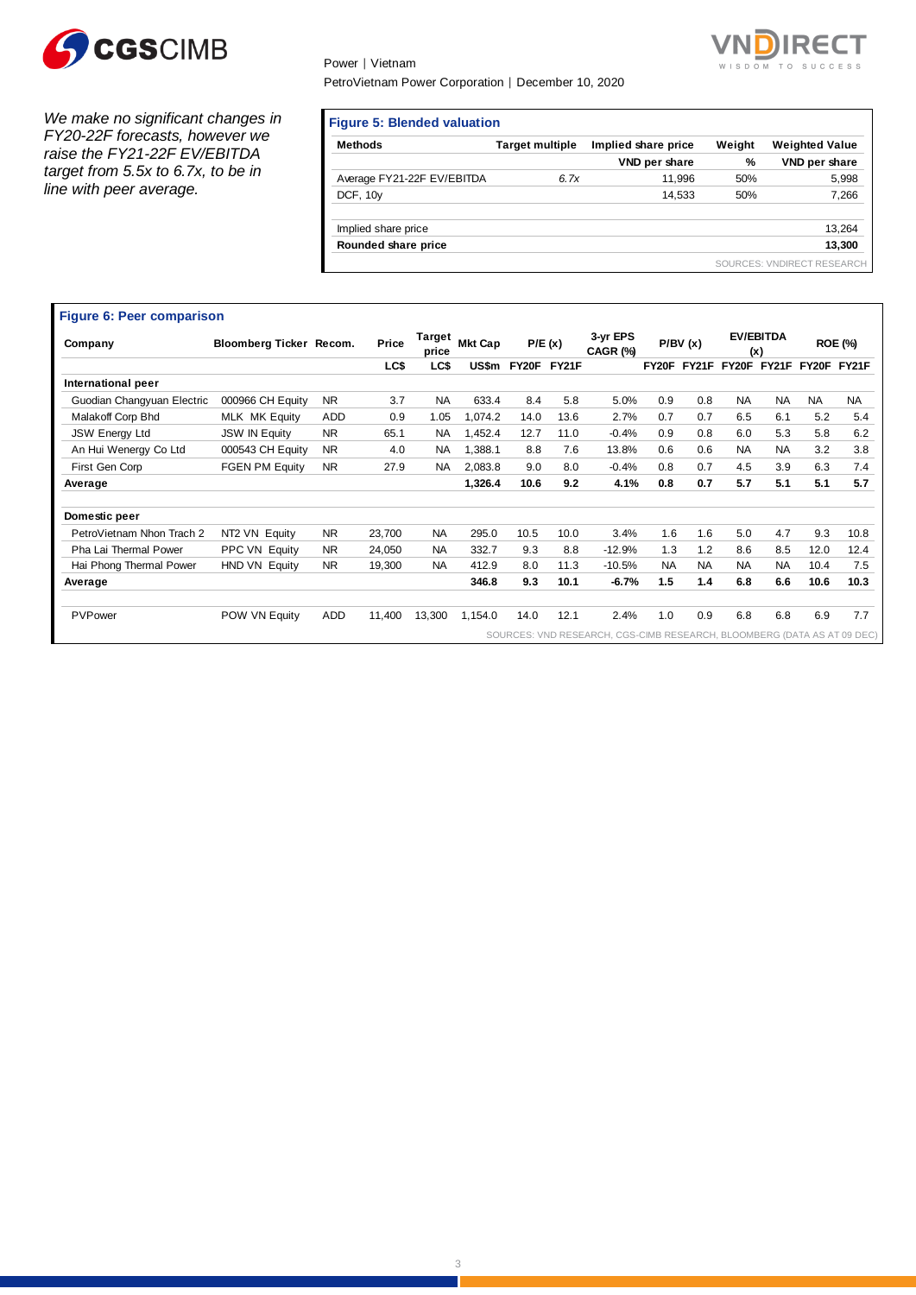

*We make no significant changes in FY20-22F forecasts, however we raise the FY21-22F EV/EBITDA target from 5.5x to 6.7x, to be in line with peer average.* 

# Power │ Vietnam PetroVietnam Power Corporation │ December 10, 2020



**Figure 5: Blended valuation** 

| <b>Methods</b>             | <b>Target multiple</b> | Implied share price | Weight | <b>Weighted Value</b>      |
|----------------------------|------------------------|---------------------|--------|----------------------------|
|                            |                        | VND per share       | %      | VND per share              |
| Average FY21-22F EV/EBITDA | 6.7x                   | 11.996              | 50%    | 5,998                      |
| DCF, 10y                   |                        | 14.533              | 50%    | 7,266                      |
| Implied share price        |                        |                     |        | 13,264                     |
| Rounded share price        |                        |                     |        | 13,300                     |
|                            |                        |                     |        | SOURCES: VNDIRECT RESEARCH |

| Company                    | Bloomberg Ticker Recom. |            | Price  | Target<br>price | <b>Mkt Cap</b> |             | P/E(x) | 3-yr EPS<br>CAGR (%) |           | P/BV(x)     |           | <b>EV/EBITDA</b><br>(x) |             | <b>ROE (%)</b> |
|----------------------------|-------------------------|------------|--------|-----------------|----------------|-------------|--------|----------------------|-----------|-------------|-----------|-------------------------|-------------|----------------|
|                            |                         |            | LC\$   | LC\$            | US\$m          | FY20F FY21F |        |                      |           | FY20F FY21F |           | FY20F FY21F             | FY20F FY21F |                |
| International peer         |                         |            |        |                 |                |             |        |                      |           |             |           |                         |             |                |
| Guodian Changyuan Electric | 000966 CH Equity        | <b>NR</b>  | 3.7    | <b>NA</b>       | 633.4          | 8.4         | 5.8    | 5.0%                 | 0.9       | 0.8         | <b>NA</b> | <b>NA</b>               | <b>NA</b>   | <b>NA</b>      |
| Malakoff Corp Bhd          | MLK MK Equity           | <b>ADD</b> | 0.9    | 1.05            | 1,074.2        | 14.0        | 13.6   | 2.7%                 | 0.7       | 0.7         | 6.5       | 6.1                     | 5.2         | 5.4            |
| <b>JSW Energy Ltd</b>      | <b>JSW IN Equity</b>    | <b>NR</b>  | 65.1   | <b>NA</b>       | 1,452.4        | 12.7        | 11.0   | $-0.4%$              | 0.9       | 0.8         | 6.0       | 5.3                     | 5.8         | 6.2            |
| An Hui Wenergy Co Ltd      | 000543 CH Equity        | <b>NR</b>  | 4.0    | <b>NA</b>       | 1,388.1        | 8.8         | 7.6    | 13.8%                | 0.6       | 0.6         | <b>NA</b> | <b>NA</b>               | 3.2         | 3.8            |
| First Gen Corp             | <b>FGEN PM Equity</b>   | <b>NR</b>  | 27.9   | <b>NA</b>       | 2,083.8        | 9.0         | 8.0    | $-0.4%$              | 0.8       | 0.7         | 4.5       | 3.9                     | 6.3         | 7.4            |
| Average                    |                         |            |        |                 | 1,326.4        | 10.6        | 9.2    | 4.1%                 | 0.8       | 0.7         | 5.7       | 5.1                     | 5.1         | 5.7            |
| Domestic peer              |                         |            |        |                 |                |             |        |                      |           |             |           |                         |             |                |
| PetroVietnam Nhon Trach 2  | NT2 VN Equity           | <b>NR</b>  | 23.700 | <b>NA</b>       | 295.0          | 10.5        | 10.0   | 3.4%                 | 1.6       | 1.6         | 5.0       | 4.7                     | 9.3         | 10.8           |
| Pha Lai Thermal Power      | PPC VN Equity           | <b>NR</b>  | 24.050 | <b>NA</b>       | 332.7          | 9.3         | 8.8    | $-12.9%$             | 1.3       | 1.2         | 8.6       | 8.5                     | 12.0        | 12.4           |
| Hai Phong Thermal Power    | HND VN Equity           | <b>NR</b>  | 19,300 | <b>NA</b>       | 412.9          | 8.0         | 11.3   | $-10.5%$             | <b>NA</b> | <b>NA</b>   | <b>NA</b> | <b>NA</b>               | 10.4        | 7.5            |
| Average                    |                         |            |        |                 | 346.8          | 9.3         | 10.1   | $-6.7%$              | 1.5       | 1.4         | 6.8       | 6.6                     | 10.6        | 10.3           |
| PVPower                    | POW VN Equity           | ADD        | 11,400 | 13,300          | 1,154.0        | 14.0        | 12.1   | 2.4%                 | 1.0       | 0.9         | 6.8       | 6.8                     | 6.9         | 7.7            |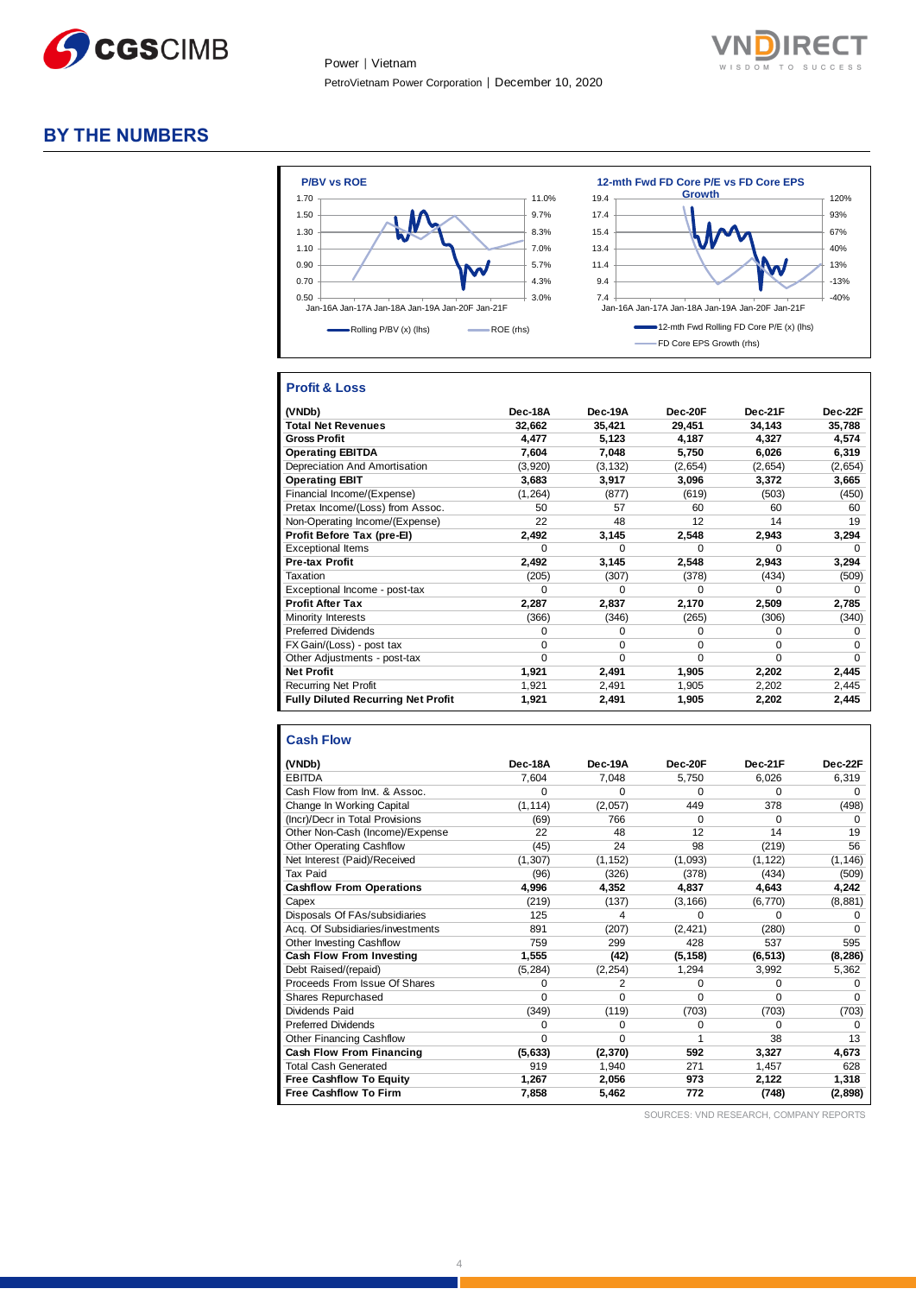



## **BY THE NUMBERS**



### **Profit & Loss**

| (VNDb)                                    | Dec-18A  | Dec-19A  | Dec-20F  | Dec-21F  | Dec-22F      |
|-------------------------------------------|----------|----------|----------|----------|--------------|
| <b>Total Net Revenues</b>                 | 32,662   | 35,421   | 29,451   | 34,143   | 35,788       |
| <b>Gross Profit</b>                       | 4.477    | 5.123    | 4,187    | 4,327    | 4,574        |
| <b>Operating EBITDA</b>                   | 7.604    | 7,048    | 5,750    | 6,026    | 6,319        |
| Depreciation And Amortisation             | (3,920)  | (3, 132) | (2,654)  | (2,654)  | (2,654)      |
| <b>Operating EBIT</b>                     | 3,683    | 3,917    | 3,096    | 3,372    | 3,665        |
| Financial Income/(Expense)                | (1, 264) | (877)    | (619)    | (503)    | (450)        |
| Pretax Income/(Loss) from Assoc.          | 50       | 57       | 60       | 60       | 60           |
| Non-Operating Income/(Expense)            | 22       | 48       | 12       | 14       | 19           |
| Profit Before Tax (pre-El)                | 2,492    | 3,145    | 2,548    | 2,943    | 3,294        |
| <b>Exceptional Items</b>                  | 0        | O        | o        | O        | <sup>0</sup> |
| <b>Pre-tax Profit</b>                     | 2,492    | 3,145    | 2,548    | 2,943    | 3,294        |
| Taxation                                  | (205)    | (307)    | (378)    | (434)    | (509)        |
| Exceptional Income - post-tax             | O        | $\Omega$ | o        | O        | 0            |
| <b>Profit After Tax</b>                   | 2,287    | 2,837    | 2,170    | 2,509    | 2,785        |
| Minority Interests                        | (366)    | (346)    | (265)    | (306)    | (340)        |
| <b>Preferred Dividends</b>                | $\Omega$ | $\Omega$ | 0        | $\Omega$ | 0            |
| FX Gain/(Loss) - post tax                 | $\Omega$ | $\Omega$ | 0        | $\Omega$ | <sup>0</sup> |
| Other Adjustments - post-tax              | $\Omega$ | $\Omega$ | $\Omega$ | $\Omega$ | $\Omega$     |
| <b>Net Profit</b>                         | 1,921    | 2,491    | 1,905    | 2,202    | 2,445        |
| <b>Recurring Net Profit</b>               | 1,921    | 2,491    | 1,905    | 2,202    | 2,445        |
| <b>Fully Diluted Recurring Net Profit</b> | 1,921    | 2,491    | 1,905    | 2,202    | 2,445        |

#### **Cash Flow**

| (VNDb)                           | Dec-18A  | Dec-19A  | Dec-20F  | Dec-21F  | Dec-22F  |
|----------------------------------|----------|----------|----------|----------|----------|
| <b>EBITDA</b>                    | 7,604    | 7,048    | 5,750    | 6,026    | 6,319    |
| Cash Flow from Invt. & Assoc.    | O.       | $\Omega$ | O        | $\Omega$ | 0        |
| Change In Working Capital        | (1, 114) | (2,057)  | 449      | 378      | (498)    |
| (Incr)/Decr in Total Provisions  | (69)     | 766      | 0        | $\Omega$ | 0        |
| Other Non-Cash (Income)/Expense  | 22       | 48       | 12       | 14       | 19       |
| <b>Other Operating Cashflow</b>  | (45)     | 24       | 98       | (219)    | 56       |
| Net Interest (Paid)/Received     | (1, 307) | (1, 152) | (1,093)  | (1, 122) | (1, 146) |
| <b>Tax Paid</b>                  | (96)     | (326)    | (378)    | (434)    | (509)    |
| <b>Cashflow From Operations</b>  | 4,996    | 4,352    | 4,837    | 4,643    | 4,242    |
| Capex                            | (219)    | (137)    | (3, 166) | (6,770)  | (8,881)  |
| Disposals Of FAs/subsidiaries    | 125      | 4        | $\Omega$ | $\Omega$ | 0        |
| Acq. Of Subsidiaries/investments | 891      | (207)    | (2, 421) | (280)    | 0        |
| Other Investing Cashflow         | 759      | 299      | 428      | 537      | 595      |
| Cash Flow From Investing         | 1,555    | (42)     | (5, 158) | (6, 513) | (8, 286) |
| Debt Raised/(repaid)             | (5, 284) | (2, 254) | 1,294    | 3,992    | 5,362    |
| Proceeds From Issue Of Shares    | 0        | 2        | 0        | $\Omega$ | 0        |
| <b>Shares Repurchased</b>        | 0        | $\Omega$ | $\Omega$ | $\Omega$ | $\Omega$ |
| Dividends Paid                   | (349)    | (119)    | (703)    | (703)    | (703)    |
| <b>Preferred Dividends</b>       | 0        | $\Omega$ | 0        | $\Omega$ | $\Omega$ |
| <b>Other Financing Cashflow</b>  | 0        | $\Omega$ | 1        | 38       | 13       |
| <b>Cash Flow From Financing</b>  | (5,633)  | (2, 370) | 592      | 3,327    | 4,673    |
| <b>Total Cash Generated</b>      | 919      | 1,940    | 271      | 1,457    | 628      |
| <b>Free Cashflow To Equity</b>   | 1,267    | 2,056    | 973      | 2,122    | 1,318    |
| <b>Free Cashflow To Firm</b>     | 7,858    | 5.462    | 772      | (748)    | (2,898)  |

SOURCES: VND RESEARCH, COMPANY REPORTS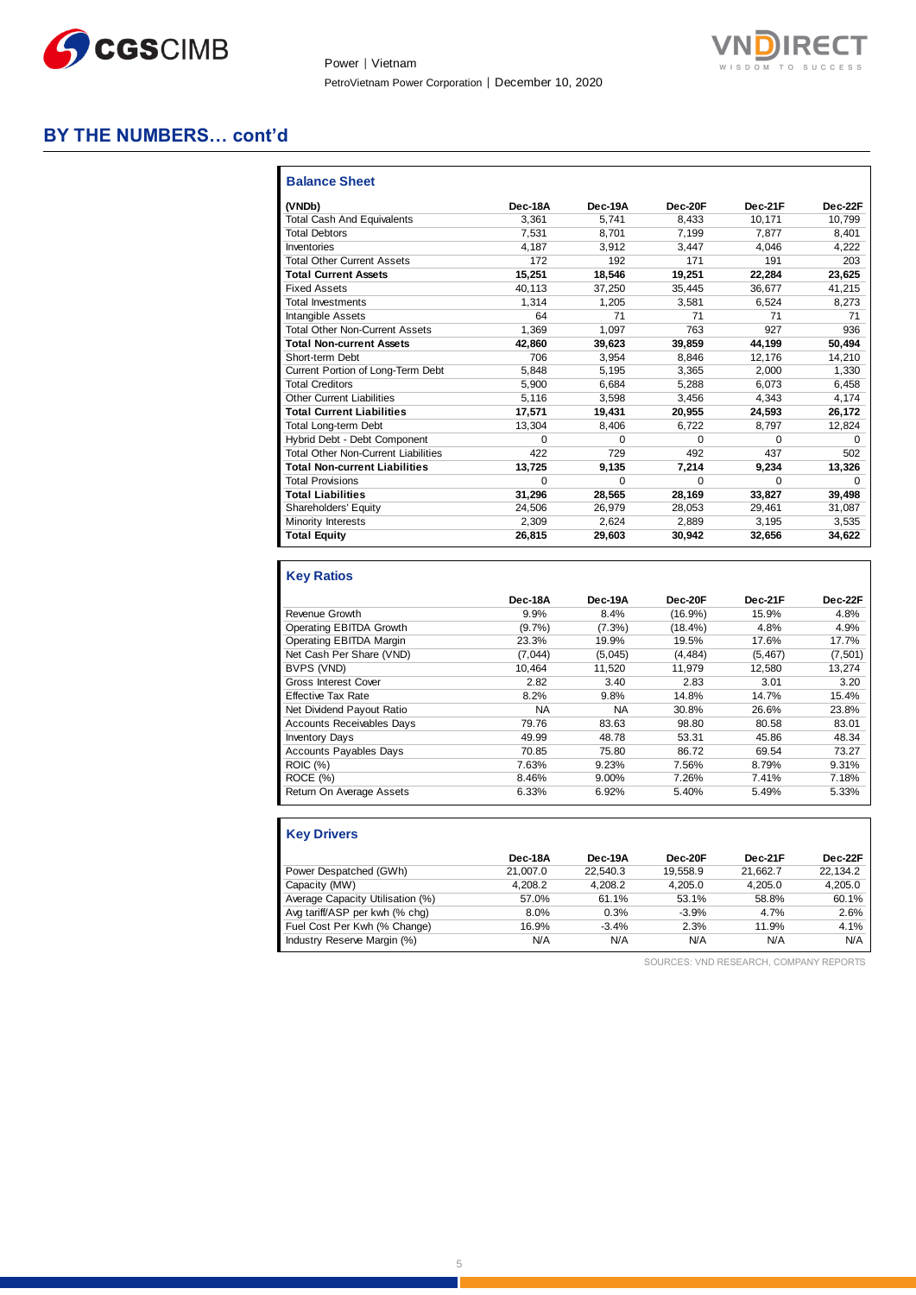

Power │ Vietnam PetroVietnam Power Corporation │ December 10, 2020



# **BY THE NUMBERS… cont'd**

| <b>Balance Sheet</b>                       |          |          |          |          |          |
|--------------------------------------------|----------|----------|----------|----------|----------|
| (VNDb)                                     | Dec-18A  | Dec-19A  | Dec-20F  | Dec-21F  | Dec-22F  |
| <b>Total Cash And Equivalents</b>          | 3.361    | 5.741    | 8.433    | 10.171   | 10.799   |
| <b>Total Debtors</b>                       | 7.531    | 8.701    | 7.199    | 7.877    | 8.401    |
| Inventories                                | 4.187    | 3.912    | 3.447    | 4.046    | 4,222    |
| <b>Total Other Current Assets</b>          | 172      | 192      | 171      | 191      | 203      |
| <b>Total Current Assets</b>                | 15,251   | 18,546   | 19,251   | 22,284   | 23,625   |
| <b>Fixed Assets</b>                        | 40.113   | 37.250   | 35,445   | 36,677   | 41,215   |
| <b>Total Investments</b>                   | 1.314    | 1.205    | 3.581    | 6.524    | 8,273    |
| <b>Intangible Assets</b>                   | 64       | 71       | 71       | 71       | 71       |
| <b>Total Other Non-Current Assets</b>      | 1.369    | 1.097    | 763      | 927      | 936      |
| <b>Total Non-current Assets</b>            | 42.860   | 39,623   | 39,859   | 44.199   | 50.494   |
| Short-term Debt                            | 706      | 3.954    | 8.846    | 12.176   | 14,210   |
| Current Portion of Long-Term Debt          | 5.848    | 5.195    | 3.365    | 2.000    | 1.330    |
| <b>Total Creditors</b>                     | 5.900    | 6.684    | 5.288    | 6.073    | 6.458    |
| <b>Other Current Liabilities</b>           | 5.116    | 3.598    | 3.456    | 4.343    | 4,174    |
| <b>Total Current Liabilities</b>           | 17,571   | 19,431   | 20,955   | 24,593   | 26,172   |
| <b>Total Long-term Debt</b>                | 13.304   | 8.406    | 6.722    | 8.797    | 12,824   |
| Hybrid Debt - Debt Component               | $\Omega$ | $\Omega$ | $\Omega$ | $\Omega$ | $\Omega$ |
| <b>Total Other Non-Current Liabilities</b> | 422      | 729      | 492      | 437      | 502      |
| <b>Total Non-current Liabilities</b>       | 13,725   | 9,135    | 7,214    | 9,234    | 13,326   |
| <b>Total Provisions</b>                    | $\Omega$ | $\Omega$ | $\Omega$ | $\Omega$ | $\Omega$ |
| <b>Total Liabilities</b>                   | 31.296   | 28.565   | 28.169   | 33.827   | 39.498   |
| Shareholders' Equity                       | 24.506   | 26.979   | 28.053   | 29.461   | 31.087   |
| <b>Minority Interests</b>                  | 2.309    | 2.624    | 2.889    | 3.195    | 3.535    |
| <b>Total Equity</b>                        | 26.815   | 29,603   | 30,942   | 32,656   | 34,622   |

# **Key Ratios**

|                                  | Dec-18A   | Dec-19A   | Dec-20F    | Dec-21F  | Dec-22F  |
|----------------------------------|-----------|-----------|------------|----------|----------|
| Revenue Growth                   | 9.9%      | 8.4%      | $(16.9\%)$ | 15.9%    | 4.8%     |
| Operating EBITDA Growth          | $(9.7\%)$ | $(7.3\%)$ | $(18.4\%)$ | 4.8%     | 4.9%     |
| Operating EBITDA Margin          | 23.3%     | 19.9%     | 19.5%      | 17.6%    | 17.7%    |
| Net Cash Per Share (VND)         | (7,044)   | (5,045)   | (4, 484)   | (5, 467) | (7, 501) |
| BVPS (VND)                       | 10.464    | 11.520    | 11.979     | 12.580   | 13,274   |
| <b>Gross Interest Cover</b>      | 2.82      | 3.40      | 2.83       | 3.01     | 3.20     |
| <b>Effective Tax Rate</b>        | 8.2%      | 9.8%      | 14.8%      | 14.7%    | 15.4%    |
| Net Dividend Payout Ratio        | <b>NA</b> | NA        | 30.8%      | 26.6%    | 23.8%    |
| <b>Accounts Receivables Days</b> | 79.76     | 83.63     | 98.80      | 80.58    | 83.01    |
| <b>Inventory Days</b>            | 49.99     | 48.78     | 53.31      | 45.86    | 48.34    |
| <b>Accounts Payables Days</b>    | 70.85     | 75.80     | 86.72      | 69.54    | 73.27    |
| <b>ROIC</b> (%)                  | 7.63%     | 9.23%     | 7.56%      | 8.79%    | 9.31%    |
| ROCE (%)                         | 8.46%     | 9.00%     | 7.26%      | 7.41%    | 7.18%    |
| Return On Average Assets         | 6.33%     | 6.92%     | 5.40%      | 5.49%    | 5.33%    |

| <b>Key Drivers</b>               |          |          |          |          |          |
|----------------------------------|----------|----------|----------|----------|----------|
|                                  | Dec-18A  | Dec-19A  | Dec-20F  | Dec-21F  | Dec-22F  |
| Power Despatched (GWh)           | 21.007.0 | 22.540.3 | 19.558.9 | 21.662.7 | 22,134.2 |
| Capacity (MW)                    | 4.208.2  | 4.208.2  | 4.205.0  | 4.205.0  | 4,205.0  |
| Average Capacity Utilisation (%) | 57.0%    | 61.1%    | 53.1%    | 58.8%    | 60.1%    |
| Avg tariff/ASP per kwh (% chg)   | 8.0%     | 0.3%     | $-3.9%$  | 4.7%     | 2.6%     |
| Fuel Cost Per Kwh (% Change)     | 16.9%    | $-3.4%$  | 2.3%     | 11.9%    | 4.1%     |
| Industry Reserve Margin (%)      | N/A      | N/A      | N/A      | N/A      | N/A      |

SOURCES: VND RESEARCH, COMPANY REPORTS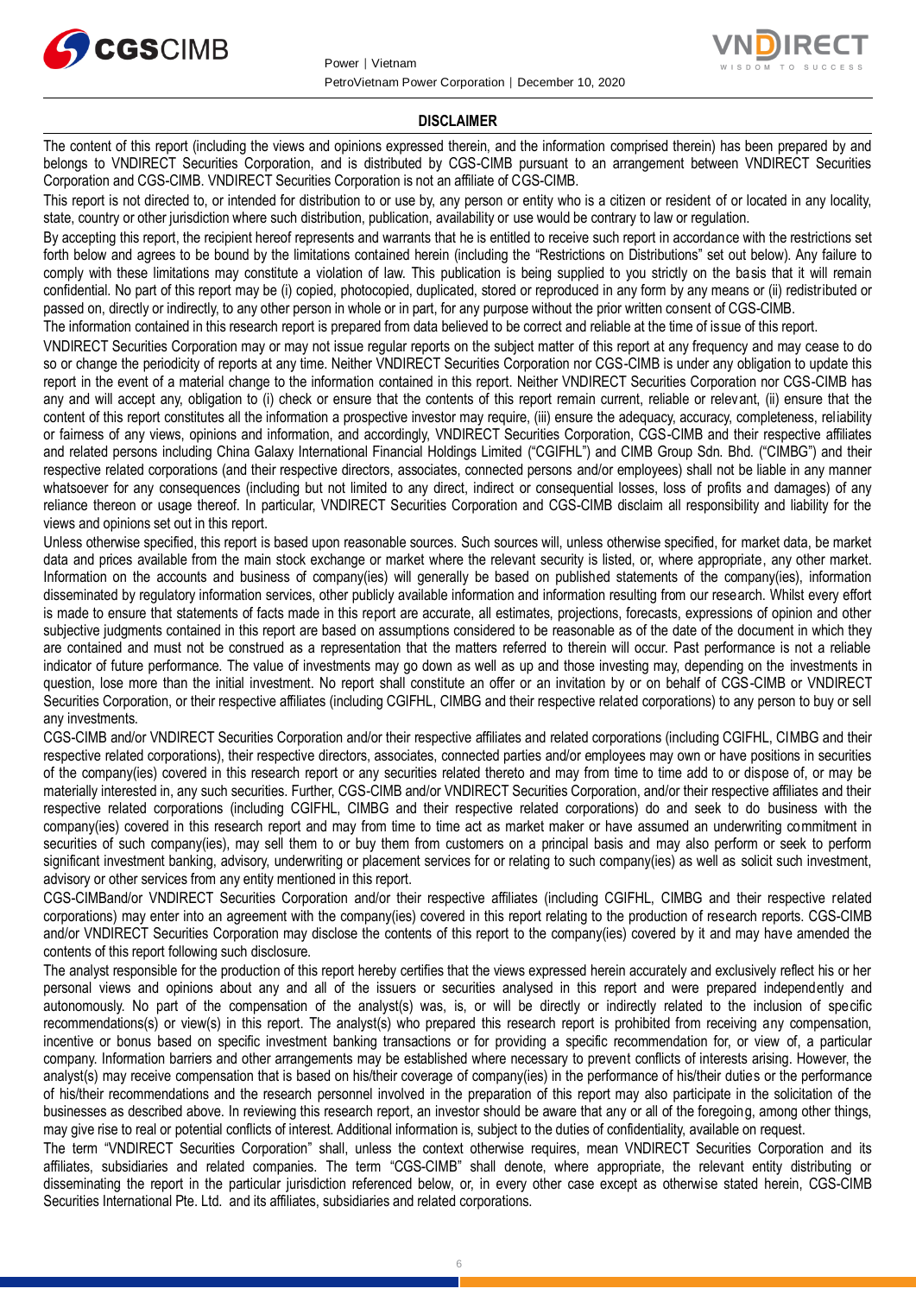



#### **DISCLAIMER**

The content of this report (including the views and opinions expressed therein, and the information comprised therein) has been prepared by and belongs to VNDIRECT Securities Corporation, and is distributed by CGS-CIMB pursuant to an arrangement between VNDIRECT Securities Corporation and CGS-CIMB. VNDIRECT Securities Corporation is not an affiliate of CGS-CIMB.

This report is not directed to, or intended for distribution to or use by, any person or entity who is a citizen or resident of or located in any locality, state, country or other jurisdiction where such distribution, publication, availability or use would be contrary to law or regulation.

By accepting this report, the recipient hereof represents and warrants that he is entitled to receive such report in accordance with the restrictions set forth below and agrees to be bound by the limitations contained herein (including the "Restrictions on Distributions" set out below). Any failure to comply with these limitations may constitute a violation of law. This publication is being supplied to you strictly on the basis that it will remain confidential. No part of this report may be (i) copied, photocopied, duplicated, stored or reproduced in any form by any means or (ii) redistributed or passed on, directly or indirectly, to any other person in whole or in part, for any purpose without the prior written consent of CGS-CIMB.

The information contained in this research report is prepared from data believed to be correct and reliable at the time of issue of this report.

VNDIRECT Securities Corporation may or may not issue regular reports on the subject matter of this report at any frequency and may cease to do so or change the periodicity of reports at any time. Neither VNDIRECT Securities Corporation nor CGS-CIMB is under any obligation to update this report in the event of a material change to the information contained in this report. Neither VNDIRECT Securities Corporation nor CGS-CIMB has any and will accept any, obligation to (i) check or ensure that the contents of this report remain current, reliable or relevant, (ii) ensure that the content of this report constitutes all the information a prospective investor may require, (iii) ensure the adequacy, accuracy, completeness, reliability or fairness of any views, opinions and information, and accordingly, VNDIRECT Securities Corporation, CGS-CIMB and their respective affiliates and related persons including China Galaxy International Financial Holdings Limited ("CGIFHL") and CIMB Group Sdn. Bhd. ("CIMBG") and their respective related corporations (and their respective directors, associates, connected persons and/or employees) shall not be liable in any manner whatsoever for any consequences (including but not limited to any direct, indirect or consequential losses, loss of profits and damages) of any reliance thereon or usage thereof. In particular, VNDIRECT Securities Corporation and CGS-CIMB disclaim all responsibility and liability for the views and opinions set out in this report.

Unless otherwise specified, this report is based upon reasonable sources. Such sources will, unless otherwise specified, for market data, be market data and prices available from the main stock exchange or market where the relevant security is listed, or, where appropriate, any other market. Information on the accounts and business of company(ies) will generally be based on published statements of the company(ies), information disseminated by regulatory information services, other publicly available information and information resulting from our research. Whilst every effort is made to ensure that statements of facts made in this report are accurate, all estimates, projections, forecasts, expressions of opinion and other subjective judgments contained in this report are based on assumptions considered to be reasonable as of the date of the document in which they are contained and must not be construed as a representation that the matters referred to therein will occur. Past performance is not a reliable indicator of future performance. The value of investments may go down as well as up and those investing may, depending on the investments in question, lose more than the initial investment. No report shall constitute an offer or an invitation by or on behalf of CGS-CIMB or VNDIRECT Securities Corporation, or their respective affiliates (including CGIFHL, CIMBG and their respective related corporations) to any person to buy or sell any investments.

CGS-CIMB and/or VNDIRECT Securities Corporation and/or their respective affiliates and related corporations (including CGIFHL, CIMBG and their respective related corporations), their respective directors, associates, connected parties and/or employees may own or have positions in securities of the company(ies) covered in this research report or any securities related thereto and may from time to time add to or dispose of, or may be materially interested in, any such securities. Further, CGS-CIMB and/or VNDIRECT Securities Corporation, and/or their respective affiliates and their respective related corporations (including CGIFHL, CIMBG and their respective related corporations) do and seek to do business with the company(ies) covered in this research report and may from time to time act as market maker or have assumed an underwriting commitment in securities of such company(ies), may sell them to or buy them from customers on a principal basis and may also perform or seek to perform significant investment banking, advisory, underwriting or placement services for or relating to such company(ies) as well as solicit such investment, advisory or other services from any entity mentioned in this report.

CGS-CIMBand/or VNDIRECT Securities Corporation and/or their respective affiliates (including CGIFHL, CIMBG and their respective related corporations) may enter into an agreement with the company(ies) covered in this report relating to the production of research reports. CGS-CIMB and/or VNDIRECT Securities Corporation may disclose the contents of this report to the company(ies) covered by it and may have amended the contents of this report following such disclosure.

The analyst responsible for the production of this report hereby certifies that the views expressed herein accurately and exclusively reflect his or her personal views and opinions about any and all of the issuers or securities analysed in this report and were prepared independently and autonomously. No part of the compensation of the analyst(s) was, is, or will be directly or indirectly related to the inclusion of specific recommendations(s) or view(s) in this report. The analyst(s) who prepared this research report is prohibited from receiving any compensation, incentive or bonus based on specific investment banking transactions or for providing a specific recommendation for, or view of, a particular company. Information barriers and other arrangements may be established where necessary to prevent conflicts of interests arising. However, the analyst(s) may receive compensation that is based on his/their coverage of company(ies) in the performance of his/their duties or the performance of his/their recommendations and the research personnel involved in the preparation of this report may also participate in the solicitation of the businesses as described above. In reviewing this research report, an investor should be aware that any or all of the foregoing, among other things, may give rise to real or potential conflicts of interest. Additional information is, subject to the duties of confidentiality, available on request.

The term "VNDIRECT Securities Corporation" shall, unless the context otherwise requires, mean VNDIRECT Securities Corporation and its affiliates, subsidiaries and related companies. The term "CGS-CIMB" shall denote, where appropriate, the relevant entity distributing or disseminating the report in the particular jurisdiction referenced below, or, in every other case except as otherwise stated herein, CGS-CIMB Securities International Pte. Ltd. and its affiliates, subsidiaries and related corporations.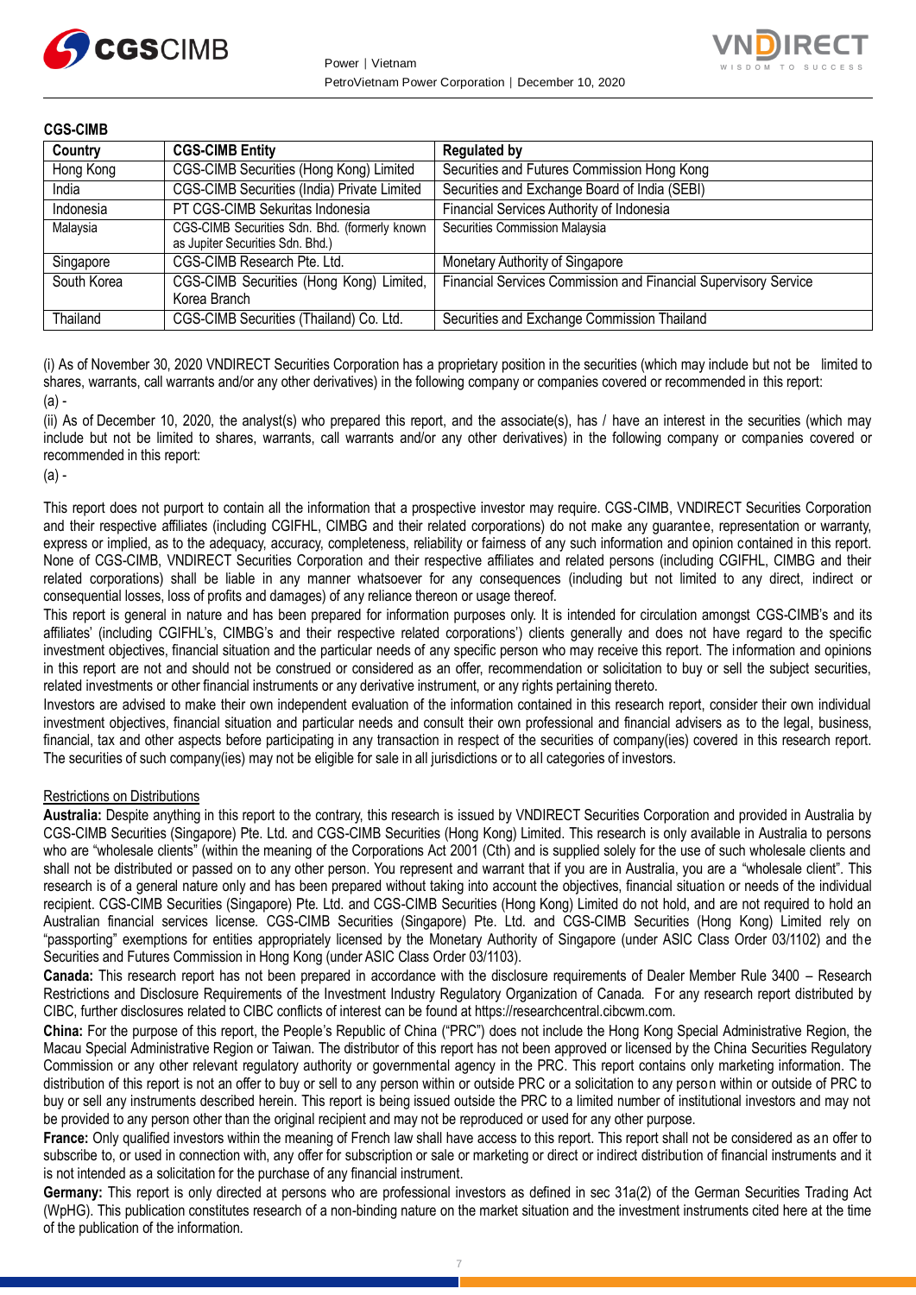



| <b>CGS-CIMB</b> |                                                                                   |                                                                 |
|-----------------|-----------------------------------------------------------------------------------|-----------------------------------------------------------------|
| Country         | <b>CGS-CIMB Entity</b>                                                            | <b>Regulated by</b>                                             |
| Hong Kong       | CGS-CIMB Securities (Hong Kong) Limited                                           | Securities and Futures Commission Hong Kong                     |
| India           | CGS-CIMB Securities (India) Private Limited                                       | Securities and Exchange Board of India (SEBI)                   |
| Indonesia       | PT CGS-CIMB Sekuritas Indonesia                                                   | Financial Services Authority of Indonesia                       |
| Malaysia        | CGS-CIMB Securities Sdn. Bhd. (formerly known<br>as Jupiter Securities Sdn. Bhd.) | Securities Commission Malaysia                                  |
| Singapore       | CGS-CIMB Research Pte. Ltd.                                                       | Monetary Authority of Singapore                                 |
| South Korea     | CGS-CIMB Securities (Hong Kong) Limited,<br>Korea Branch                          | Financial Services Commission and Financial Supervisory Service |
| Thailand        | CGS-CIMB Securities (Thailand) Co. Ltd.                                           | Securities and Exchange Commission Thailand                     |

(i) As of November 30, 2020 VNDIRECT Securities Corporation has a proprietary position in the securities (which may include but not be limited to shares, warrants, call warrants and/or any other derivatives) in the following company or companies covered or recommended in this report: (a) -

(ii) As of December 10, 2020, the analyst(s) who prepared this report, and the associate(s), has / have an interest in the securities (which may include but not be limited to shares, warrants, call warrants and/or any other derivatives) in the following company or companies covered or recommended in this report:

#### (a) -

This report does not purport to contain all the information that a prospective investor may require. CGS-CIMB, VNDIRECT Securities Corporation and their respective affiliates (including CGIFHL, CIMBG and their related corporations) do not make any guarantee, representation or warranty, express or implied, as to the adequacy, accuracy, completeness, reliability or fairness of any such information and opinion contained in this report. None of CGS-CIMB, VNDIRECT Securities Corporation and their respective affiliates and related persons (including CGIFHL, CIMBG and their related corporations) shall be liable in any manner whatsoever for any consequences (including but not limited to any direct, indirect or consequential losses, loss of profits and damages) of any reliance thereon or usage thereof.

This report is general in nature and has been prepared for information purposes only. It is intended for circulation amongst CGS-CIMB's and its affiliates' (including CGIFHL's, CIMBG's and their respective related corporations') clients generally and does not have regard to the specific investment objectives, financial situation and the particular needs of any specific person who may receive this report. The information and opinions in this report are not and should not be construed or considered as an offer, recommendation or solicitation to buy or sell the subject securities, related investments or other financial instruments or any derivative instrument, or any rights pertaining thereto.

Investors are advised to make their own independent evaluation of the information contained in this research report, consider their own individual investment objectives, financial situation and particular needs and consult their own professional and financial advisers as to the legal, business, financial, tax and other aspects before participating in any transaction in respect of the securities of company(ies) covered in this research report. The securities of such company(ies) may not be eligible for sale in all jurisdictions or to all categories of investors.

#### Restrictions on Distributions

**Australia:** Despite anything in this report to the contrary, this research is issued by VNDIRECT Securities Corporation and provided in Australia by CGS-CIMB Securities (Singapore) Pte. Ltd. and CGS-CIMB Securities (Hong Kong) Limited. This research is only available in Australia to persons who are "wholesale clients" (within the meaning of the Corporations Act 2001 (Cth) and is supplied solely for the use of such wholesale clients and shall not be distributed or passed on to any other person. You represent and warrant that if you are in Australia, you are a "wholesale client". This research is of a general nature only and has been prepared without taking into account the objectives, financial situation or needs of the individual recipient. CGS-CIMB Securities (Singapore) Pte. Ltd. and CGS-CIMB Securities (Hong Kong) Limited do not hold, and are not required to hold an Australian financial services license. CGS-CIMB Securities (Singapore) Pte. Ltd. and CGS-CIMB Securities (Hong Kong) Limited rely on "passporting" exemptions for entities appropriately licensed by the Monetary Authority of Singapore (under ASIC Class Order 03/1102) and the Securities and Futures Commission in Hong Kong (under ASIC Class Order 03/1103).

**Canada:** This research report has not been prepared in accordance with the disclosure requirements of Dealer Member Rule 3400 – Research Restrictions and Disclosure Requirements of the Investment Industry Regulatory Organization of Canada. For any research report distributed by CIBC, further disclosures related to CIBC conflicts of interest can be found at https://researchcentral.cibcwm.com.

**China:** For the purpose of this report, the People's Republic of China ("PRC") does not include the Hong Kong Special Administrative Region, the Macau Special Administrative Region or Taiwan. The distributor of this report has not been approved or licensed by the China Securities Regulatory Commission or any other relevant regulatory authority or governmental agency in the PRC. This report contains only marketing information. The distribution of this report is not an offer to buy or sell to any person within or outside PRC or a solicitation to any person within or outside of PRC to buy or sell any instruments described herein. This report is being issued outside the PRC to a limited number of institutional investors and may not be provided to any person other than the original recipient and may not be reproduced or used for any other purpose.

**France:** Only qualified investors within the meaning of French law shall have access to this report. This report shall not be considered as an offer to subscribe to, or used in connection with, any offer for subscription or sale or marketing or direct or indirect distribution of financial instruments and it is not intended as a solicitation for the purchase of any financial instrument.

**Germany:** This report is only directed at persons who are professional investors as defined in sec 31a(2) of the German Securities Trading Act (WpHG). This publication constitutes research of a non-binding nature on the market situation and the investment instruments cited here at the time of the publication of the information.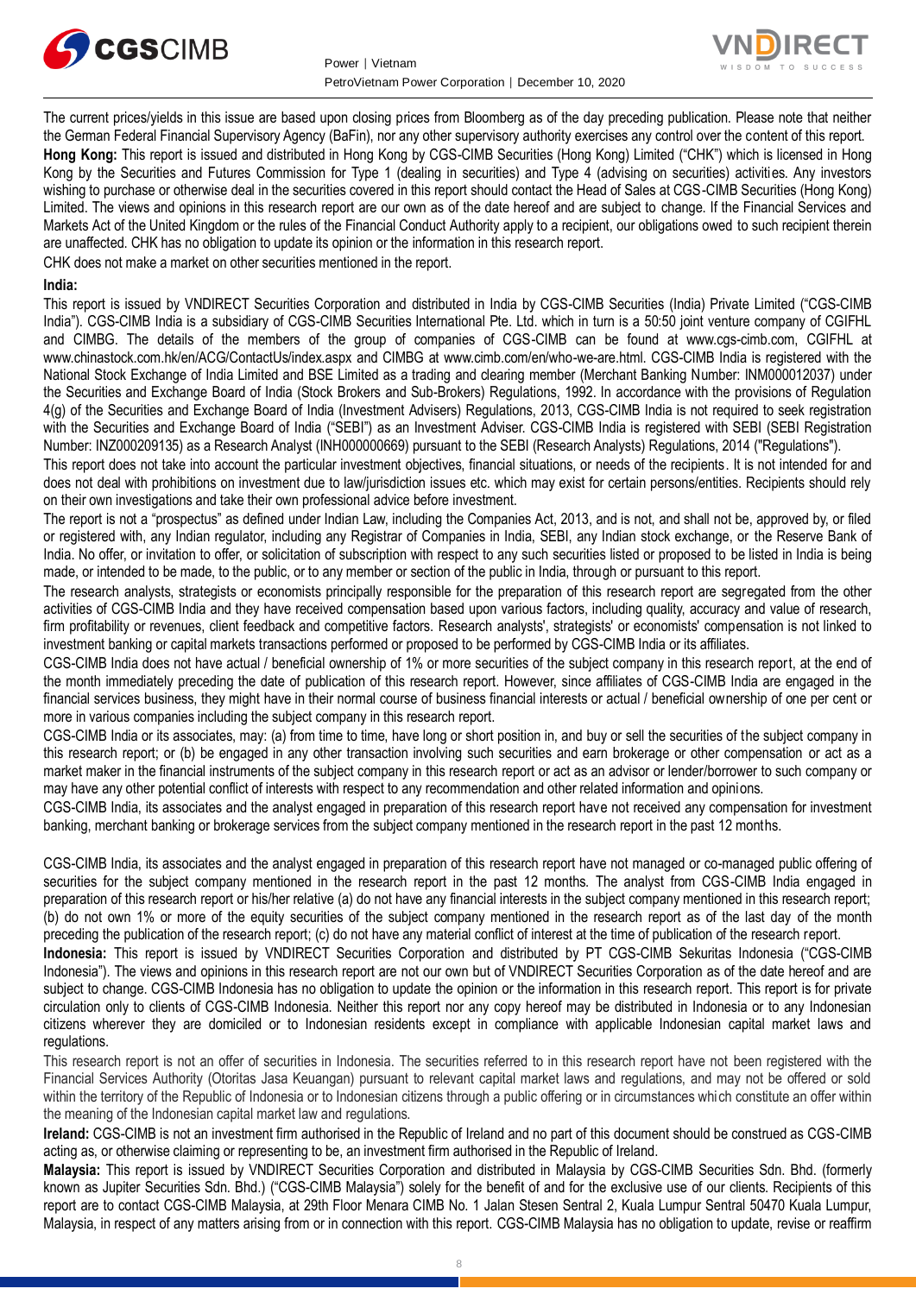



The current prices/yields in this issue are based upon closing prices from Bloomberg as of the day preceding publication. Please note that neither the German Federal Financial Supervisory Agency (BaFin), nor any other supervisory authority exercises any control over the content of this report. **Hong Kong:** This report is issued and distributed in Hong Kong by CGS-CIMB Securities (Hong Kong) Limited ("CHK") which is licensed in Hong Kong by the Securities and Futures Commission for Type 1 (dealing in securities) and Type 4 (advising on securities) activities. Any investors wishing to purchase or otherwise deal in the securities covered in this report should contact the Head of Sales at CGS-CIMB Securities (Hong Kong) Limited. The views and opinions in this research report are our own as of the date hereof and are subject to change. If the Financial Services and Markets Act of the United Kingdom or the rules of the Financial Conduct Authority apply to a recipient, our obligations owed to such recipient therein are unaffected. CHK has no obligation to update its opinion or the information in this research report. CHK does not make a market on other securities mentioned in the report.

#### **India:**

This report is issued by VNDIRECT Securities Corporation and distributed in India by CGS-CIMB Securities (India) Private Limited ("CGS-CIMB India"). CGS-CIMB India is a subsidiary of CGS-CIMB Securities International Pte. Ltd. which in turn is a 50:50 joint venture company of CGIFHL and CIMBG. The details of the members of the group of companies of CGS-CIMB can be found at www.cgs-cimb.com, CGIFHL at www.chinastock.com.hk/en/ACG/ContactUs/index.aspx and CIMBG at www.cimb.com/en/who-we-are.html. CGS-CIMB India is registered with the National Stock Exchange of India Limited and BSE Limited as a trading and clearing member (Merchant Banking Number: INM000012037) under the Securities and Exchange Board of India (Stock Brokers and Sub-Brokers) Regulations, 1992. In accordance with the provisions of Regulation 4(g) of the Securities and Exchange Board of India (Investment Advisers) Regulations, 2013, CGS-CIMB India is not required to seek registration with the Securities and Exchange Board of India ("SEBI") as an Investment Adviser. CGS-CIMB India is registered with SEBI (SEBI Registration Number: INZ000209135) as a Research Analyst (INH000000669) pursuant to the SEBI (Research Analysts) Regulations, 2014 ("Regulations").

This report does not take into account the particular investment objectives, financial situations, or needs of the recipients. It is not intended for and does not deal with prohibitions on investment due to law/jurisdiction issues etc. which may exist for certain persons/entities. Recipients should rely on their own investigations and take their own professional advice before investment.

The report is not a "prospectus" as defined under Indian Law, including the Companies Act, 2013, and is not, and shall not be, approved by, or filed or registered with, any Indian regulator, including any Registrar of Companies in India, SEBI, any Indian stock exchange, or the Reserve Bank of India. No offer, or invitation to offer, or solicitation of subscription with respect to any such securities listed or proposed to be listed in India is being made, or intended to be made, to the public, or to any member or section of the public in India, through or pursuant to this report.

The research analysts, strategists or economists principally responsible for the preparation of this research report are segregated from the other activities of CGS-CIMB India and they have received compensation based upon various factors, including quality, accuracy and value of research, firm profitability or revenues, client feedback and competitive factors. Research analysts', strategists' or economists' compensation is not linked to investment banking or capital markets transactions performed or proposed to be performed by CGS-CIMB India or its affiliates.

CGS-CIMB India does not have actual / beneficial ownership of 1% or more securities of the subject company in this research report, at the end of the month immediately preceding the date of publication of this research report. However, since affiliates of CGS-CIMB India are engaged in the financial services business, they might have in their normal course of business financial interests or actual / beneficial ownership of one per cent or more in various companies including the subject company in this research report.

CGS-CIMB India or its associates, may: (a) from time to time, have long or short position in, and buy or sell the securities of the subject company in this research report; or (b) be engaged in any other transaction involving such securities and earn brokerage or other compensation or act as a market maker in the financial instruments of the subject company in this research report or act as an advisor or lender/borrower to such company or may have any other potential conflict of interests with respect to any recommendation and other related information and opinions.

CGS-CIMB India, its associates and the analyst engaged in preparation of this research report have not received any compensation for investment banking, merchant banking or brokerage services from the subject company mentioned in the research report in the past 12 months.

CGS-CIMB India, its associates and the analyst engaged in preparation of this research report have not managed or co-managed public offering of securities for the subject company mentioned in the research report in the past 12 months. The analyst from CGS-CIMB India engaged in preparation of this research report or his/her relative (a) do not have any financial interests in the subject company mentioned in this research report; (b) do not own 1% or more of the equity securities of the subject company mentioned in the research report as of the last day of the month preceding the publication of the research report; (c) do not have any material conflict of interest at the time of publication of the research report.

**Indonesia:** This report is issued by VNDIRECT Securities Corporation and distributed by PT CGS-CIMB Sekuritas Indonesia ("CGS-CIMB Indonesia"). The views and opinions in this research report are not our own but of VNDIRECT Securities Corporation as of the date hereof and are subject to change. CGS-CIMB Indonesia has no obligation to update the opinion or the information in this research report. This report is for private circulation only to clients of CGS-CIMB Indonesia. Neither this report nor any copy hereof may be distributed in Indonesia or to any Indonesian citizens wherever they are domiciled or to Indonesian residents except in compliance with applicable Indonesian capital market laws and regulations.

This research report is not an offer of securities in Indonesia. The securities referred to in this research report have not been registered with the Financial Services Authority (Otoritas Jasa Keuangan) pursuant to relevant capital market laws and regulations, and may not be offered or sold within the territory of the Republic of Indonesia or to Indonesian citizens through a public offering or in circumstances which constitute an offer within the meaning of the Indonesian capital market law and regulations.

**Ireland:** CGS-CIMB is not an investment firm authorised in the Republic of Ireland and no part of this document should be construed as CGS-CIMB acting as, or otherwise claiming or representing to be, an investment firm authorised in the Republic of Ireland.

**Malaysia:** This report is issued by VNDIRECT Securities Corporation and distributed in Malaysia by CGS-CIMB Securities Sdn. Bhd. (formerly known as Jupiter Securities Sdn. Bhd.) ("CGS-CIMB Malaysia") solely for the benefit of and for the exclusive use of our clients. Recipients of this report are to contact CGS-CIMB Malaysia, at 29th Floor Menara CIMB No. 1 Jalan Stesen Sentral 2, Kuala Lumpur Sentral 50470 Kuala Lumpur, Malaysia, in respect of any matters arising from or in connection with this report. CGS-CIMB Malaysia has no obligation to update, revise or reaffirm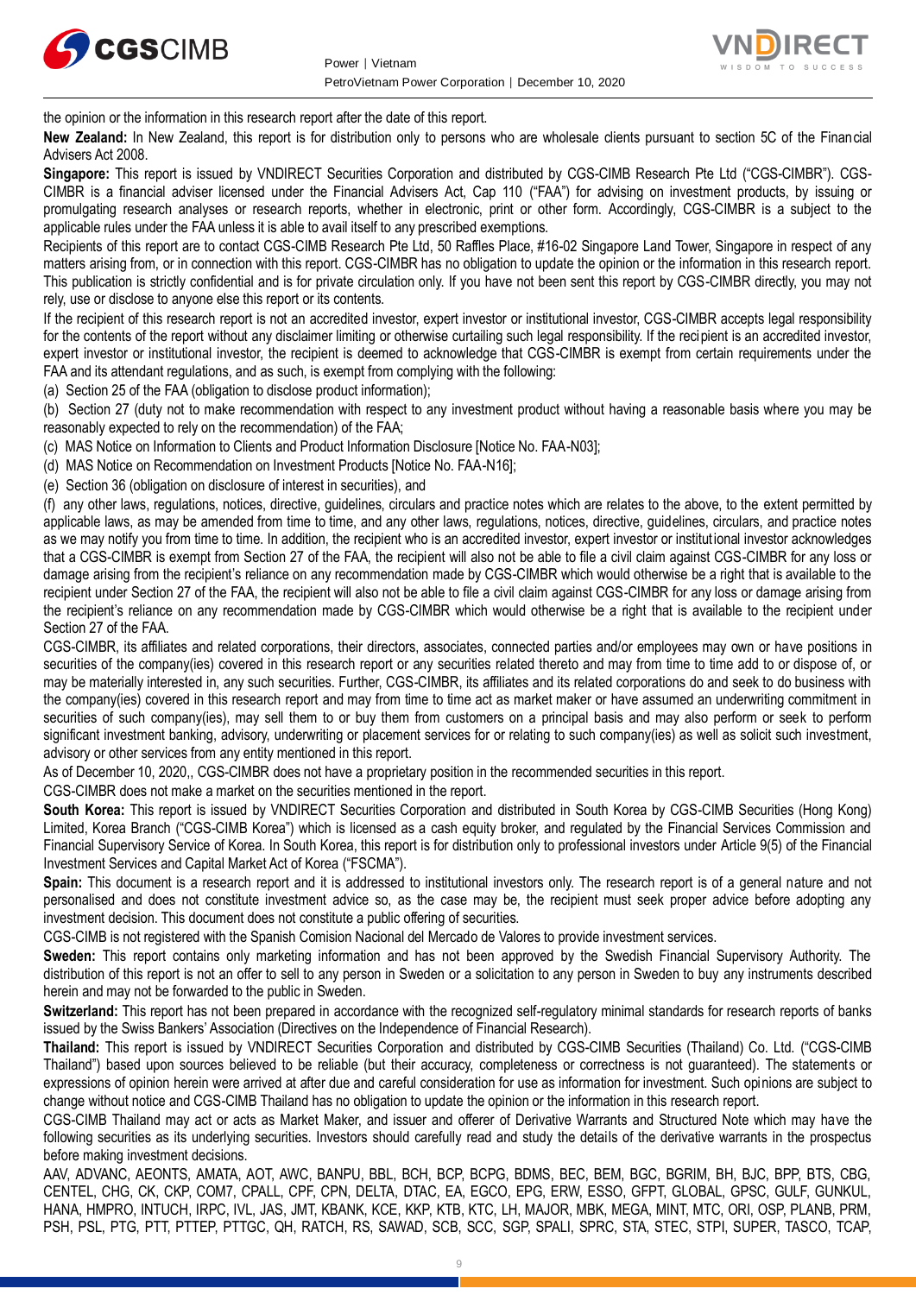



the opinion or the information in this research report after the date of this report.

**New Zealand:** In New Zealand, this report is for distribution only to persons who are wholesale clients pursuant to section 5C of the Financial Advisers Act 2008.

**Singapore:** This report is issued by VNDIRECT Securities Corporation and distributed by CGS-CIMB Research Pte Ltd ("CGS-CIMBR"). CGS-CIMBR is a financial adviser licensed under the Financial Advisers Act, Cap 110 ("FAA") for advising on investment products, by issuing or promulgating research analyses or research reports, whether in electronic, print or other form. Accordingly, CGS-CIMBR is a subject to the applicable rules under the FAA unless it is able to avail itself to any prescribed exemptions.

Recipients of this report are to contact CGS-CIMB Research Pte Ltd, 50 Raffles Place, #16-02 Singapore Land Tower, Singapore in respect of any matters arising from, or in connection with this report. CGS-CIMBR has no obligation to update the opinion or the information in this research report. This publication is strictly confidential and is for private circulation only. If you have not been sent this report by CGS-CIMBR directly, you may not rely, use or disclose to anyone else this report or its contents.

If the recipient of this research report is not an accredited investor, expert investor or institutional investor, CGS-CIMBR accepts legal responsibility for the contents of the report without any disclaimer limiting or otherwise curtailing such legal responsibility. If the recipient is an accredited investor, expert investor or institutional investor, the recipient is deemed to acknowledge that CGS-CIMBR is exempt from certain requirements under the FAA and its attendant regulations, and as such, is exempt from complying with the following:

(a) Section 25 of the FAA (obligation to disclose product information);

(b) Section 27 (duty not to make recommendation with respect to any investment product without having a reasonable basis where you may be reasonably expected to rely on the recommendation) of the FAA;

(c) MAS Notice on Information to Clients and Product Information Disclosure [Notice No. FAA-N03];

(d) MAS Notice on Recommendation on Investment Products [Notice No. FAA-N16];

(e) Section 36 (obligation on disclosure of interest in securities), and

(f) any other laws, regulations, notices, directive, guidelines, circulars and practice notes which are relates to the above, to the extent permitted by applicable laws, as may be amended from time to time, and any other laws, regulations, notices, directive, guidelines, circulars, and practice notes as we may notify you from time to time. In addition, the recipient who is an accredited investor, expert investor or institutional investor acknowledges that a CGS-CIMBR is exempt from Section 27 of the FAA, the recipient will also not be able to file a civil claim against CGS-CIMBR for any loss or damage arising from the recipient's reliance on any recommendation made by CGS-CIMBR which would otherwise be a right that is available to the recipient under Section 27 of the FAA, the recipient will also not be able to file a civil claim against CGS-CIMBR for any loss or damage arising from the recipient's reliance on any recommendation made by CGS-CIMBR which would otherwise be a right that is available to the recipient under Section 27 of the FAA.

CGS-CIMBR, its affiliates and related corporations, their directors, associates, connected parties and/or employees may own or have positions in securities of the company(ies) covered in this research report or any securities related thereto and may from time to time add to or dispose of, or may be materially interested in, any such securities. Further, CGS-CIMBR, its affiliates and its related corporations do and seek to do business with the company(ies) covered in this research report and may from time to time act as market maker or have assumed an underwriting commitment in securities of such company(ies), may sell them to or buy them from customers on a principal basis and may also perform or seek to perform significant investment banking, advisory, underwriting or placement services for or relating to such company(ies) as well as solicit such investment, advisory or other services from any entity mentioned in this report.

As of December 10, 2020,, CGS-CIMBR does not have a proprietary position in the recommended securities in this report.

CGS-CIMBR does not make a market on the securities mentioned in the report.

**South Korea:** This report is issued by VNDIRECT Securities Corporation and distributed in South Korea by CGS-CIMB Securities (Hong Kong) Limited, Korea Branch ("CGS-CIMB Korea") which is licensed as a cash equity broker, and regulated by the Financial Services Commission and Financial Supervisory Service of Korea. In South Korea, this report is for distribution only to professional investors under Article 9(5) of the Financial Investment Services and Capital Market Act of Korea ("FSCMA").

**Spain:** This document is a research report and it is addressed to institutional investors only. The research report is of a general nature and not personalised and does not constitute investment advice so, as the case may be, the recipient must seek proper advice before adopting any investment decision. This document does not constitute a public offering of securities.

CGS-CIMB is not registered with the Spanish Comision Nacional del Mercado de Valores to provide investment services.

**Sweden:** This report contains only marketing information and has not been approved by the Swedish Financial Supervisory Authority. The distribution of this report is not an offer to sell to any person in Sweden or a solicitation to any person in Sweden to buy any instruments described herein and may not be forwarded to the public in Sweden.

**Switzerland:** This report has not been prepared in accordance with the recognized self-regulatory minimal standards for research reports of banks issued by the Swiss Bankers' Association (Directives on the Independence of Financial Research).

**Thailand:** This report is issued by VNDIRECT Securities Corporation and distributed by CGS-CIMB Securities (Thailand) Co. Ltd. ("CGS-CIMB Thailand") based upon sources believed to be reliable (but their accuracy, completeness or correctness is not guaranteed). The statements or expressions of opinion herein were arrived at after due and careful consideration for use as information for investment. Such opinions are subject to change without notice and CGS-CIMB Thailand has no obligation to update the opinion or the information in this research report.

CGS-CIMB Thailand may act or acts as Market Maker, and issuer and offerer of Derivative Warrants and Structured Note which may have the following securities as its underlying securities. Investors should carefully read and study the details of the derivative warrants in the prospectus before making investment decisions.

AAV, ADVANC, AEONTS, AMATA, AOT, AWC, BANPU, BBL, BCH, BCP, BCPG, BDMS, BEC, BEM, BGC, BGRIM, BH, BJC, BPP, BTS, CBG, CENTEL, CHG, CK, CKP, COM7, CPALL, CPF, CPN, DELTA, DTAC, EA, EGCO, EPG, ERW, ESSO, GFPT, GLOBAL, GPSC, GULF, GUNKUL, HANA, HMPRO, INTUCH, IRPC, IVL, JAS, JMT, KBANK, KCE, KKP, KTB, KTC, LH, MAJOR, MBK, MEGA, MINT, MTC, ORI, OSP, PLANB, PRM, PSH, PSL, PTG, PTT, PTTEP, PTTGC, QH, RATCH, RS, SAWAD, SCB, SCC, SGP, SPALI, SPRC, STA, STEC, STPI, SUPER, TASCO, TCAP,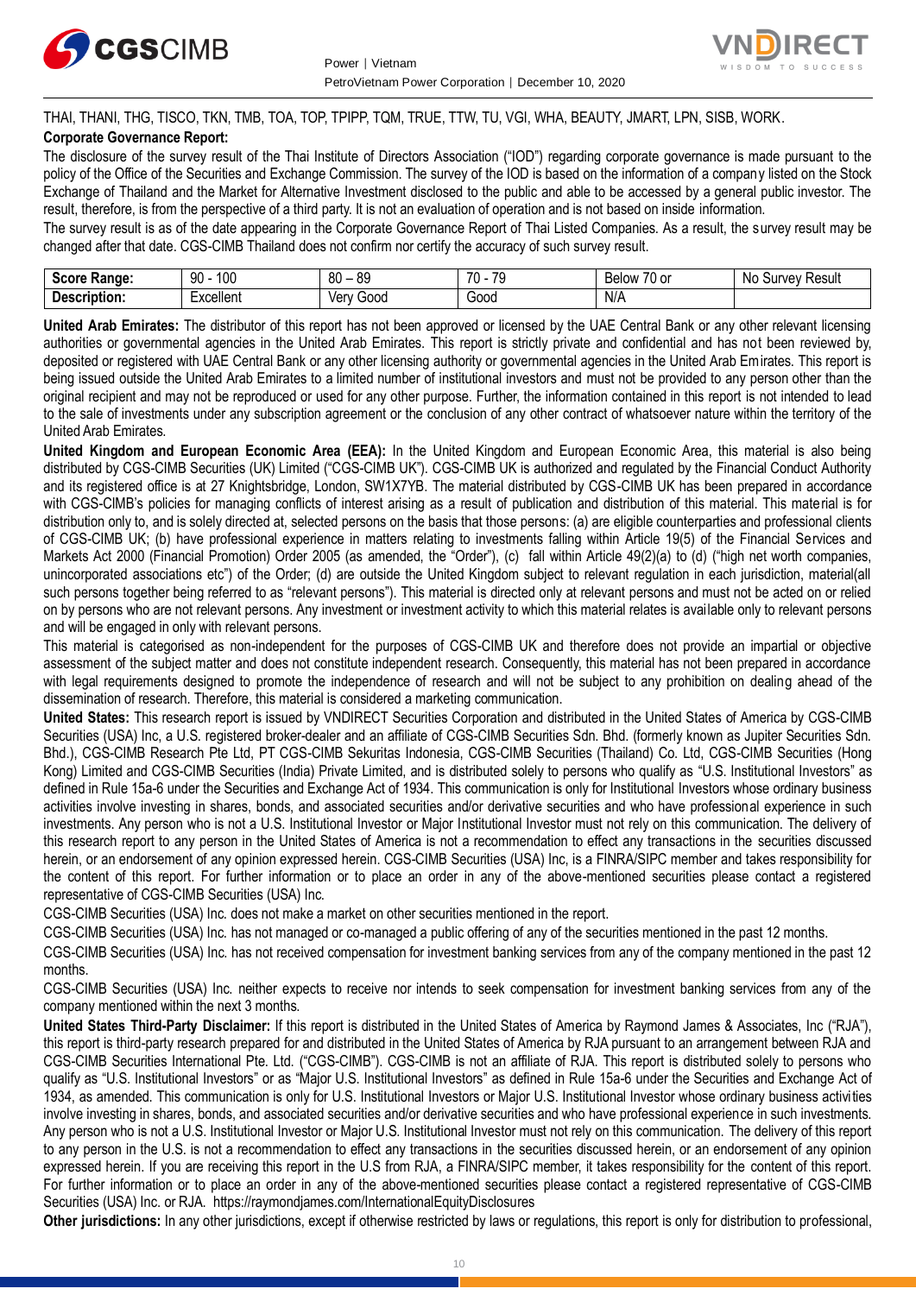



### THAI, THANI, THG, TISCO, TKN, TMB, TOA, TOP, TPIPP, TQM, TRUE, TTW, TU, VGI, WHA, BEAUTY, JMART, LPN, SISB, WORK. **Corporate Governance Report:**

The disclosure of the survey result of the Thai Institute of Directors Association ("IOD") regarding corporate governance is made pursuant to the policy of the Office of the Securities and Exchange Commission. The survey of the IOD is based on the information of a company listed on the Stock Exchange of Thailand and the Market for Alternative Investment disclosed to the public and able to be accessed by a general public investor. The result, therefore, is from the perspective of a third party. It is not an evaluation of operation and is not based on inside information.

The survey result is as of the date appearing in the Corporate Governance Report of Thai Listed Companies. As a result, the survey result may be changed after that date. CGS-CIMB Thailand does not confirm nor certify the accuracy of such survey result.

| <b>Score</b><br>Range: | م م<br>ററ<br>JU<br>טע | or<br>80<br>vũ | 70<br>$\overline{\phantom{a}}$<br>. . | $-$<br>/U or<br>Below | Result<br><b>VAV</b><br><b>NC</b><br>יווכ |
|------------------------|-----------------------|----------------|---------------------------------------|-----------------------|-------------------------------------------|
| De:<br>scription.      | Lyonllon'<br>LAUGHUIL | 000خ<br>Verv   | 000ئ                                  | N/A                   |                                           |

**United Arab Emirates:** The distributor of this report has not been approved or licensed by the UAE Central Bank or any other relevant licensing authorities or governmental agencies in the United Arab Emirates. This report is strictly private and confidential and has not been reviewed by, deposited or registered with UAE Central Bank or any other licensing authority or governmental agencies in the United Arab Emirates. This report is being issued outside the United Arab Emirates to a limited number of institutional investors and must not be provided to any person other than the original recipient and may not be reproduced or used for any other purpose. Further, the information contained in this report is not intended to lead to the sale of investments under any subscription agreement or the conclusion of any other contract of whatsoever nature within the territory of the United Arab Emirates.

**United Kingdom and European Economic Area (EEA):** In the United Kingdom and European Economic Area, this material is also being distributed by CGS-CIMB Securities (UK) Limited ("CGS-CIMB UK"). CGS-CIMB UK is authorized and regulated by the Financial Conduct Authority and its registered office is at 27 Knightsbridge, London, SW1X7YB. The material distributed by CGS-CIMB UK has been prepared in accordance with CGS-CIMB's policies for managing conflicts of interest arising as a result of publication and distribution of this material. This material is for distribution only to, and is solely directed at, selected persons on the basis that those persons: (a) are eligible counterparties and professional clients of CGS-CIMB UK; (b) have professional experience in matters relating to investments falling within Article 19(5) of the Financial Services and Markets Act 2000 (Financial Promotion) Order 2005 (as amended, the "Order"), (c) fall within Article 49(2)(a) to (d) ("high net worth companies, unincorporated associations etc") of the Order; (d) are outside the United Kingdom subject to relevant regulation in each jurisdiction, material(all such persons together being referred to as "relevant persons"). This material is directed only at relevant persons and must not be acted on or relied on by persons who are not relevant persons. Any investment or investment activity to which this material relates is available only to relevant persons and will be engaged in only with relevant persons.

This material is categorised as non-independent for the purposes of CGS-CIMB UK and therefore does not provide an impartial or objective assessment of the subject matter and does not constitute independent research. Consequently, this material has not been prepared in accordance with legal requirements designed to promote the independence of research and will not be subject to any prohibition on dealing ahead of the dissemination of research. Therefore, this material is considered a marketing communication.

**United States:** This research report is issued by VNDIRECT Securities Corporation and distributed in the United States of America by CGS-CIMB Securities (USA) Inc, a U.S. registered broker-dealer and an affiliate of CGS-CIMB Securities Sdn. Bhd. (formerly known as Jupiter Securities Sdn. Bhd.), CGS-CIMB Research Pte Ltd, PT CGS-CIMB Sekuritas Indonesia, CGS-CIMB Securities (Thailand) Co. Ltd, CGS-CIMB Securities (Hong Kong) Limited and CGS-CIMB Securities (India) Private Limited, and is distributed solely to persons who qualify as "U.S. Institutional Investors" as defined in Rule 15a-6 under the Securities and Exchange Act of 1934. This communication is only for Institutional Investors whose ordinary business activities involve investing in shares, bonds, and associated securities and/or derivative securities and who have professional experience in such investments. Any person who is not a U.S. Institutional Investor or Major Institutional Investor must not rely on this communication. The delivery of this research report to any person in the United States of America is not a recommendation to effect any transactions in the securities discussed herein, or an endorsement of any opinion expressed herein. CGS-CIMB Securities (USA) Inc, is a FINRA/SIPC member and takes responsibility for the content of this report. For further information or to place an order in any of the above-mentioned securities please contact a registered representative of CGS-CIMB Securities (USA) Inc.

CGS-CIMB Securities (USA) Inc. does not make a market on other securities mentioned in the report.

CGS-CIMB Securities (USA) Inc. has not managed or co-managed a public offering of any of the securities mentioned in the past 12 months.

CGS-CIMB Securities (USA) Inc. has not received compensation for investment banking services from any of the company mentioned in the past 12 months.

CGS-CIMB Securities (USA) Inc. neither expects to receive nor intends to seek compensation for investment banking services from any of the company mentioned within the next 3 months.

**United States Third-Party Disclaimer:** If this report is distributed in the United States of America by Raymond James & Associates, Inc ("RJA"), this report is third-party research prepared for and distributed in the United States of America by RJA pursuant to an arrangement between RJA and CGS-CIMB Securities International Pte. Ltd. ("CGS-CIMB"). CGS-CIMB is not an affiliate of RJA. This report is distributed solely to persons who qualify as "U.S. Institutional Investors" or as "Major U.S. Institutional Investors" as defined in Rule 15a-6 under the Securities and Exchange Act of 1934, as amended. This communication is only for U.S. Institutional Investors or Major U.S. Institutional Investor whose ordinary business activities involve investing in shares, bonds, and associated securities and/or derivative securities and who have professional experience in such investments. Any person who is not a U.S. Institutional Investor or Major U.S. Institutional Investor must not rely on this communication. The delivery of this report to any person in the U.S. is not a recommendation to effect any transactions in the securities discussed herein, or an endorsement of any opinion expressed herein. If you are receiving this report in the U.S from RJA, a FINRA/SIPC member, it takes responsibility for the content of this report. For further information or to place an order in any of the above-mentioned securities please contact a registered representative of CGS-CIMB Securities (USA) Inc. or RJA.<https://raymondjames.com/InternationalEquityDisclosures>

**Other jurisdictions:** In any other jurisdictions, except if otherwise restricted by laws or regulations, this report is only for distribution to professional,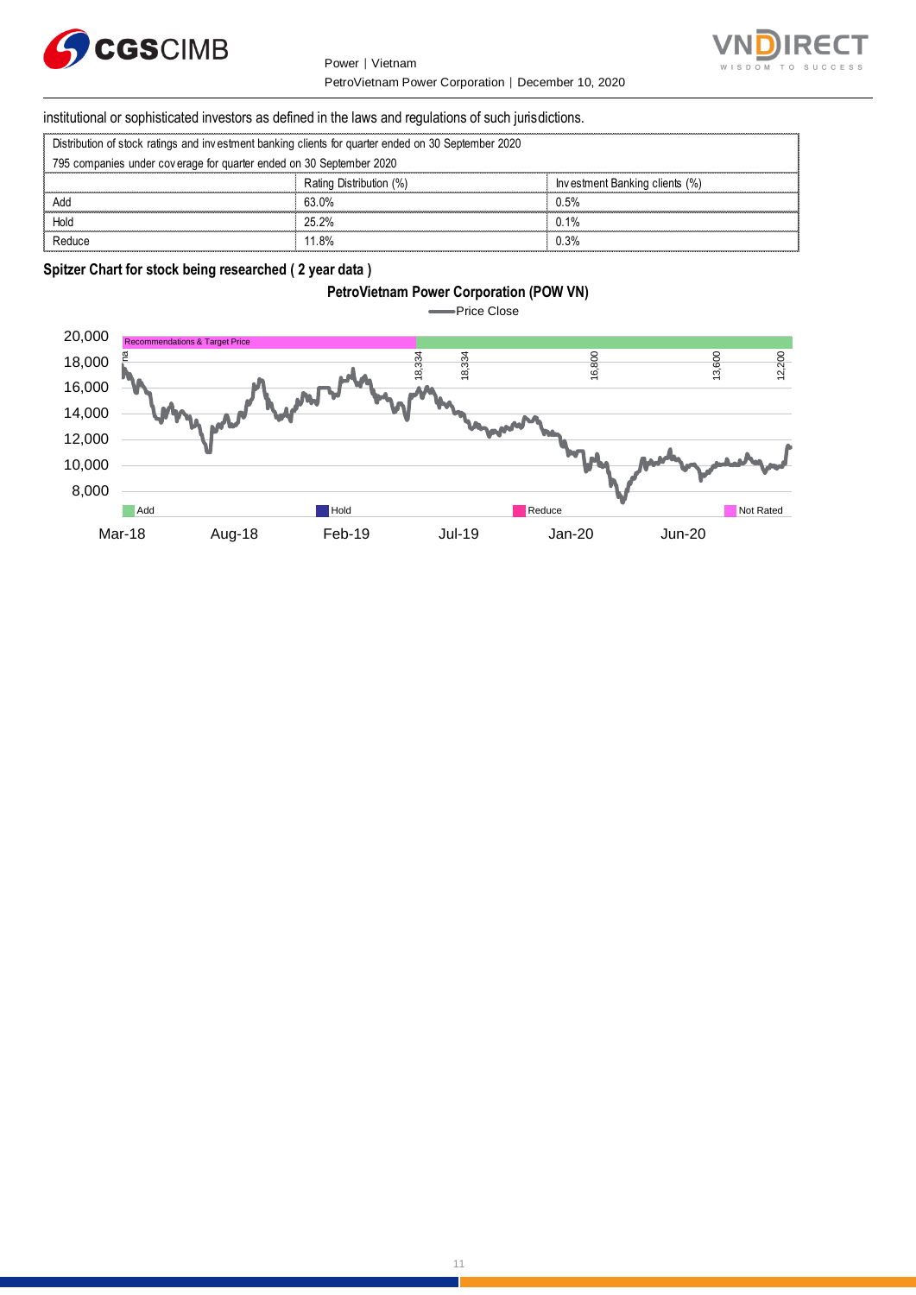

Power │ Vietnam PetroVietnam Power Corporation │ December 10, 2020



# institutional or sophisticated investors as defined in the laws and regulations of such jurisdictions. PetroVietnam Power Corporation | I<br>| Stitutional or sophisticated investors as defined in the laws and regulations of such ju<br>| Distribution of stock ratings and investment banking clients for quarter ended on 30 September

| institutional or sophisticated investors as defined in the laws and regulations of such jurisdictions. |                         |                                |  |  |  |  |
|--------------------------------------------------------------------------------------------------------|-------------------------|--------------------------------|--|--|--|--|
| Distribution of stock ratings and investment banking clients for quarter ended on 30 September 2020    |                         |                                |  |  |  |  |
| 795 companies under coverage for quarter ended on 30 September 2020                                    |                         |                                |  |  |  |  |
|                                                                                                        | Rating Distribution (%) | Investment Banking clients (%) |  |  |  |  |
| Add                                                                                                    | 63.0%                   | 0.5%                           |  |  |  |  |
| Hold                                                                                                   | 25.2%                   | 0.1%                           |  |  |  |  |
| Reduce                                                                                                 | 11.8%                   | በ 3%                           |  |  |  |  |

### **Spitzer Chart for stock being researched ( 2 year data )**

## **PetroVietnam Power Corporation (POW VN)** Price Close  $\blacksquare$ 20,000 ns & Target Price  $\frac{33}{33}$ <br> $\frac{33}{33}$ <br> $\frac{33}{33}$ <br> $\frac{33}{33}$ <br> $\frac{33}{33}$ <br> $\frac{33}{33}$ <br> $\frac{33}{33}$ <br> $\frac{33}{33}$ <br> $\frac{33}{33}$ <br> $\frac{33}{33}$ <br> $\frac{33}{33}$ <br> $\frac{33}{33}$ <br> $\frac{33}{33}$ 18,000 16,000 14,000 12,000 10,000 8,000 Add **Hold Reduce Reduce Not Rated** Reduce Not Rated Reduce Not Rated Reduce **Not Rated** Mar-18 Aug-18 Feb-19 Jul-19 Jan-20 Jun-20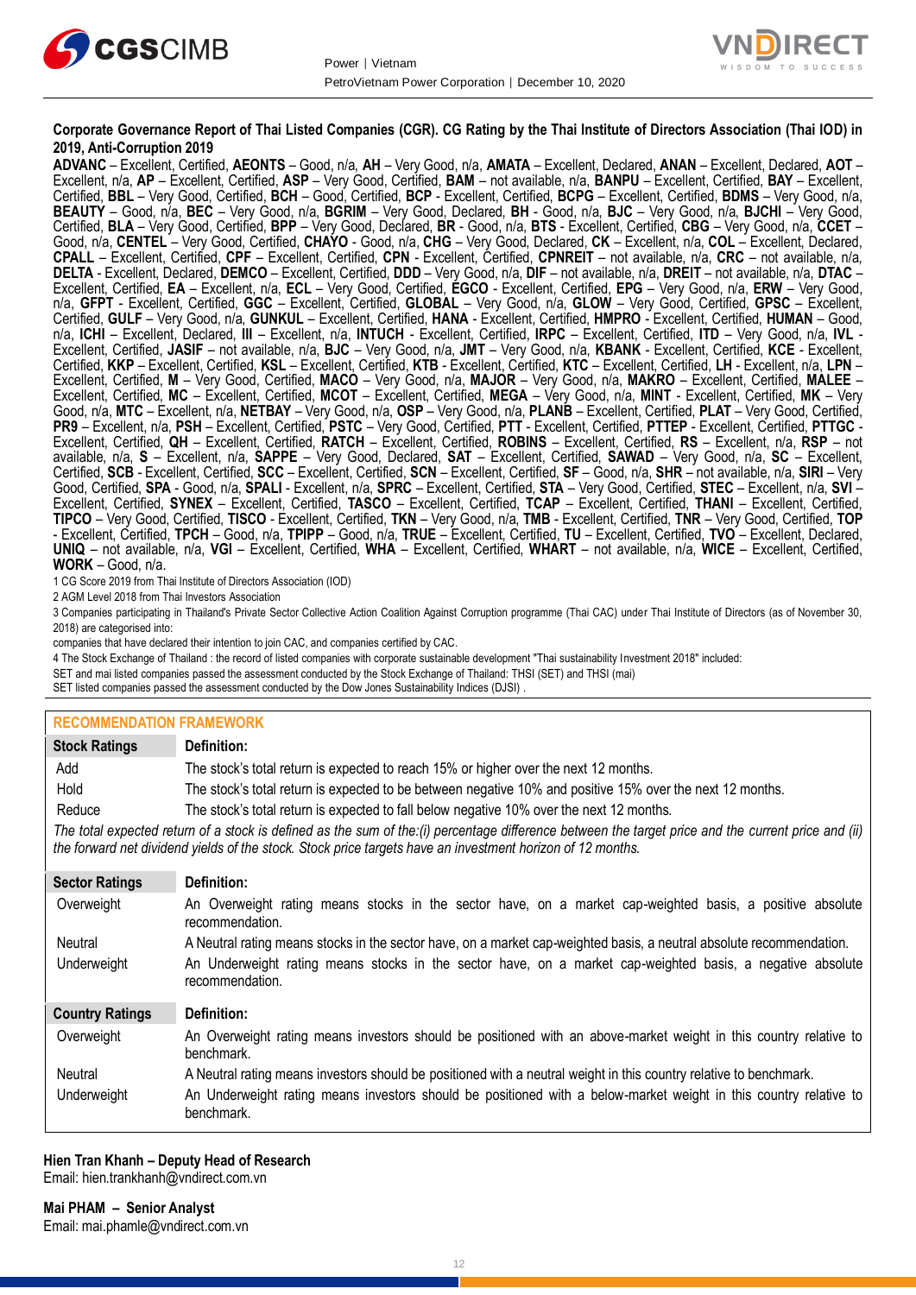



#### **Corporate Governance Report of Thai Listed Companies (CGR). CG Rating by the Thai Institute of Directors Association (Thai IOD) in 2019, Anti-Corruption 2019**

**ADVANC** – Excellent, Certified, **AEONTS** – Good, n/a, **AH** – Very Good, n/a, **AMATA** – Excellent, Declared, **ANAN** – Excellent, Declared, **AOT** – Excellent, n/a, **AP** – Excellent, Certified, **ASP** – Very Good, Certified, **BAM** – not available, n/a, **BANPU** – Excellent, Certified, **BAY** – Excellent, Certified, **BBL** – Very Good, Certified, **BCH** – Good, Certified, **BCP** - Excellent, Certified, **BCPG** – Excellent, Certified, **BDMS** – Very Good, n/a, **BEAUTY** – Good, n/a, **BEC** – Very Good, n/a, **BGRIM** – Very Good, Declared, **BH** - Good, n/a, **BJC** – Very Good, n/a, **BJCHI** – Very Good, Certified, **BLA** – Very Good, Certified, **BPP** – Very Good, Declared, **BR** - Good, n/a, **BTS** - Excellent, Certified, **CBG** – Very Good, n/a, **CCET** – Good, n/a, **CENTEL** – Very Good, Certified, **CHAYO** - Good, n/a, **CHG** – Very Good, Declared, **CK** – Excellent, n/a, **COL** – Excellent, Declared, **CPALL** – Excellent, Certified, **CPF** – Excellent, Certified, **CPN** - Excellent, Certified, **CPNREIT** – not available, n/a, **CRC** – not available, n/a, **DELTA** - Excellent, Declared, **DEMCO** – Excellent, Certified, **DDD** – Very Good, n/a, **DIF** – not available, n/a, **DREIT** – not available, n/a, **DTAC** – Excellent, Certified, **EA** – Excellent, n/a, **ECL** – Very Good, Certified, **EGCO** - Excellent, Certified, **EPG** – Very Good, n/a, **ERW** – Very Good, n/a, **GFPT** - Excellent, Certified, **GGC** – Excellent, Certified, **GLOBAL** – Very Good, n/a, **GLOW** – Very Good, Certified, **GPSC** – Excellent, Certified, **GULF** – Very Good, n/a, **GUNKUL** – Excellent, Certified, **HANA** - Excellent, Certified, **HMPRO** - Excellent, Certified, **HUMAN** – Good, n/a, **ICHI** – Excellent, Declared, **III** – Excellent, n/a, **INTUCH** - Excellent, Certified, **IRPC** – Excellent, Certified, **ITD** – Very Good, n/a, **IVL** - Excellent, Certified, **JASIF** – not available, n/a, **BJC** – Very Good, n/a, **JMT** – Very Good, n/a, **KBANK** - Excellent, Certified, **KCE** - Excellent, Certified, **KKP** – Excellent, Certified, **KSL** – Excellent, Certified, **KTB** - Excellent, Certified, **KTC** – Excellent, Certified, **LH** - Excellent, n/a, **LPN** – Excellent, Certified, **M** – Very Good, Certified, **MACO** – Very Good, n/a, **MAJOR** – Very Good, n/a, **MAKRO** – Excellent, Certified, **MALEE** – Excellent, Certified, **MC** – Excellent, Certified, **MCOT** – Excellent, Certified, **MEGA** – Very Good, n/a, **MINT** - Excellent, Certified, **MK** – Very Good, n/a, **MTC** – Excellent, n/a, **NETBAY** – Very Good, n/a, **OSP** – Very Good, n/a, **PLANB** – Excellent, Certified, **PLAT** – Very Good, Certified, **PR9** – Excellent, n/a, **PSH** – Excellent, Certified, **PSTC** – Very Good, Certified, **PTT** - Excellent, Certified, **PTTEP** - Excellent, Certified, **PTTGC** - Excellent, Certified, **QH** – Excellent, Certified, **RATCH** – Excellent, Certified, **ROBINS** – Excellent, Certified, **RS** – Excellent, n/a, **RSP** – not available, n/a, **S** – Excellent, n/a, **SAPPE** – Very Good, Declared, **SAT** – Excellent, Certified, **SAWAD** – Very Good, n/a, **SC** – Excellent, Certified, **SCB** - Excellent, Certified, **SCC** – Excellent, Certified, **SCN** – Excellent, Certified, **SF** – Good, n/a, **SHR** – not available, n/a, **SIRI** – Very Good, Certified, **SPA** - Good, n/a, **SPALI** - Excellent, n/a, **SPRC** – Excellent, Certified, **STA** – Very Good, Certified, **STEC** – Excellent, n/a, **SVI** – Excellent, Certified, **SYNEX** – Excellent, Certified, **TASCO** – Excellent, Certified, **TCAP** – Excellent, Certified, **THANI** – Excellent, Certified, **TIPCO** – Very Good, Certified, **TISCO** - Excellent, Certified, **TKN** – Very Good, n/a, **TMB** - Excellent, Certified, **TNR** – Very Good, Certified, **TOP** - Excellent, Certified, **TPCH** – Good, n/a, **TPIPP** – Good, n/a, **TRUE** – Excellent, Certified, **TU** – Excellent, Certified, **TVO** – Excellent, Declared, **UNIQ** – not available, n/a, **VGI** – Excellent, Certified, **WHA** – Excellent, Certified, **WHART** – not available, n/a, **WICE** – Excellent, Certified, **WORK** – Good, n/a.

1 CG Score 2019 from Thai Institute of Directors Association (IOD)

2 AGM Level 2018 from Thai Investors Association

3 Companies participating in Thailand's Private Sector Collective Action Coalition Against Corruption programme (Thai CAC) under Thai Institute of Directors (as of November 30, 2018) are categorised into:

companies that have declared their intention to join CAC, and companies certified by CAC.

4 [The Stock Exchange of Thailand : the record of listed companies with corporate sustainable development "Thai sustainability Investment 2018" included:](http://www.set.or.th/sustainable_dev/en/sr/sri/tsi_p1.html)

SET and mai listed companies passed the assessment conducted by the Stock Exchange of Thailand: THSI (SET) and THSI (mai)

SET listed companies passed the assessment conducted by the Dow Jones Sustainability Indices (DJSI)

#### **RECOMMENDATION FRAMEWORK**

| <b>Stock Ratings</b>                                                                                                                                                                                                                                              | Definition:                                                                                                                     |  |  |  |
|-------------------------------------------------------------------------------------------------------------------------------------------------------------------------------------------------------------------------------------------------------------------|---------------------------------------------------------------------------------------------------------------------------------|--|--|--|
| Add                                                                                                                                                                                                                                                               | The stock's total return is expected to reach 15% or higher over the next 12 months.                                            |  |  |  |
| Hold                                                                                                                                                                                                                                                              | The stock's total return is expected to be between negative 10% and positive 15% over the next 12 months.                       |  |  |  |
| Reduce                                                                                                                                                                                                                                                            | The stock's total return is expected to fall below negative 10% over the next 12 months.                                        |  |  |  |
| The total expected return of a stock is defined as the sum of the:(i) percentage difference between the target price and the current price and (ii)<br>the forward net dividend yields of the stock. Stock price targets have an investment horizon of 12 months. |                                                                                                                                 |  |  |  |
| <b>Sector Ratings</b>                                                                                                                                                                                                                                             | Definition:                                                                                                                     |  |  |  |
| Overweight                                                                                                                                                                                                                                                        | An Overweight rating means stocks in the sector have, on a market cap-weighted basis, a positive absolute<br>recommendation.    |  |  |  |
| Neutral                                                                                                                                                                                                                                                           | A Neutral rating means stocks in the sector have, on a market cap-weighted basis, a neutral absolute recommendation.            |  |  |  |
| Underweight                                                                                                                                                                                                                                                       | An Underweight rating means stocks in the sector have, on a market cap-weighted basis, a negative absolute<br>recommendation.   |  |  |  |
| <b>Country Ratings</b>                                                                                                                                                                                                                                            | Definition:                                                                                                                     |  |  |  |
| Overweight                                                                                                                                                                                                                                                        | An Overweight rating means investors should be positioned with an above-market weight in this country relative to<br>benchmark. |  |  |  |
| <b>Neutral</b>                                                                                                                                                                                                                                                    | A Neutral rating means investors should be positioned with a neutral weight in this country relative to benchmark.              |  |  |  |
| Underweight                                                                                                                                                                                                                                                       | An Underweight rating means investors should be positioned with a below-market weight in this country relative to<br>benchmark. |  |  |  |

#### **Hien Tran Khanh – Deputy Head of Research** Email[: hien.trankhanh@vndirect.com.vn](mailto:hien.trankhanh@vndirect.com.vn)

**Mai PHAM – Senior Analyst**

Email[: mai.phamle@vndirect.com.vn](mailto:mai.phamle@vndirect.com.vn)